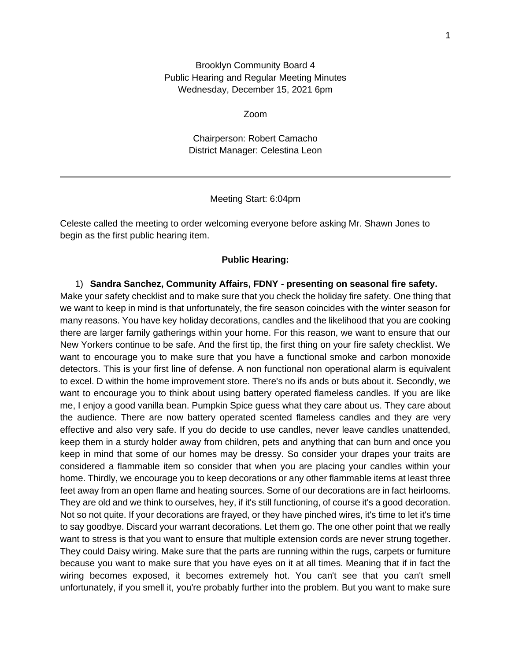Brooklyn Community Board 4 Public Hearing and Regular Meeting Minutes Wednesday, December 15, 2021 6pm

Zoom

Chairperson: Robert Camacho District Manager: Celestina Leon

#### Meeting Start: 6:04pm

Celeste called the meeting to order welcoming everyone before asking Mr. Shawn Jones to begin as the first public hearing item.

#### **Public Hearing:**

1) **Sandra Sanchez, Community Affairs, FDNY - presenting on seasonal fire safety.** Make your safety checklist and to make sure that you check the holiday fire safety. One thing that we want to keep in mind is that unfortunately, the fire season coincides with the winter season for many reasons. You have key holiday decorations, candles and the likelihood that you are cooking there are larger family gatherings within your home. For this reason, we want to ensure that our New Yorkers continue to be safe. And the first tip, the first thing on your fire safety checklist. We want to encourage you to make sure that you have a functional smoke and carbon monoxide detectors. This is your first line of defense. A non functional non operational alarm is equivalent to excel. D within the home improvement store. There's no ifs ands or buts about it. Secondly, we want to encourage you to think about using battery operated flameless candles. If you are like me, I enjoy a good vanilla bean. Pumpkin Spice guess what they care about us. They care about the audience. There are now battery operated scented flameless candles and they are very effective and also very safe. If you do decide to use candles, never leave candles unattended, keep them in a sturdy holder away from children, pets and anything that can burn and once you keep in mind that some of our homes may be dressy. So consider your drapes your traits are considered a flammable item so consider that when you are placing your candles within your home. Thirdly, we encourage you to keep decorations or any other flammable items at least three feet away from an open flame and heating sources. Some of our decorations are in fact heirlooms. They are old and we think to ourselves, hey, if it's still functioning, of course it's a good decoration. Not so not quite. If your decorations are frayed, or they have pinched wires, it's time to let it's time to say goodbye. Discard your warrant decorations. Let them go. The one other point that we really want to stress is that you want to ensure that multiple extension cords are never strung together. They could Daisy wiring. Make sure that the parts are running within the rugs, carpets or furniture because you want to make sure that you have eyes on it at all times. Meaning that if in fact the wiring becomes exposed, it becomes extremely hot. You can't see that you can't smell unfortunately, if you smell it, you're probably further into the problem. But you want to make sure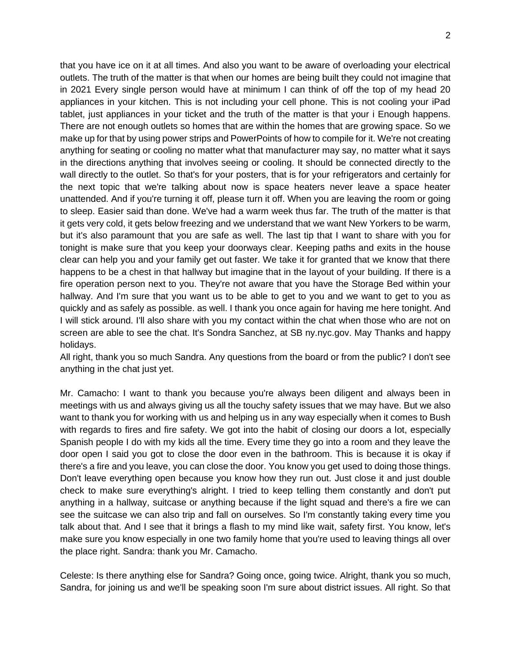that you have ice on it at all times. And also you want to be aware of overloading your electrical outlets. The truth of the matter is that when our homes are being built they could not imagine that in 2021 Every single person would have at minimum I can think of off the top of my head 20 appliances in your kitchen. This is not including your cell phone. This is not cooling your iPad tablet, just appliances in your ticket and the truth of the matter is that your i Enough happens. There are not enough outlets so homes that are within the homes that are growing space. So we make up for that by using power strips and PowerPoints of how to compile for it. We're not creating anything for seating or cooling no matter what that manufacturer may say, no matter what it says in the directions anything that involves seeing or cooling. It should be connected directly to the wall directly to the outlet. So that's for your posters, that is for your refrigerators and certainly for the next topic that we're talking about now is space heaters never leave a space heater unattended. And if you're turning it off, please turn it off. When you are leaving the room or going to sleep. Easier said than done. We've had a warm week thus far. The truth of the matter is that it gets very cold, it gets below freezing and we understand that we want New Yorkers to be warm, but it's also paramount that you are safe as well. The last tip that I want to share with you for tonight is make sure that you keep your doorways clear. Keeping paths and exits in the house clear can help you and your family get out faster. We take it for granted that we know that there happens to be a chest in that hallway but imagine that in the layout of your building. If there is a fire operation person next to you. They're not aware that you have the Storage Bed within your hallway. And I'm sure that you want us to be able to get to you and we want to get to you as quickly and as safely as possible. as well. I thank you once again for having me here tonight. And I will stick around. I'll also share with you my contact within the chat when those who are not on screen are able to see the chat. It's Sondra Sanchez, at SB ny.nyc.gov. May Thanks and happy holidays.

All right, thank you so much Sandra. Any questions from the board or from the public? I don't see anything in the chat just yet.

Mr. Camacho: I want to thank you because you're always been diligent and always been in meetings with us and always giving us all the touchy safety issues that we may have. But we also want to thank you for working with us and helping us in any way especially when it comes to Bush with regards to fires and fire safety. We got into the habit of closing our doors a lot, especially Spanish people I do with my kids all the time. Every time they go into a room and they leave the door open I said you got to close the door even in the bathroom. This is because it is okay if there's a fire and you leave, you can close the door. You know you get used to doing those things. Don't leave everything open because you know how they run out. Just close it and just double check to make sure everything's alright. I tried to keep telling them constantly and don't put anything in a hallway, suitcase or anything because if the light squad and there's a fire we can see the suitcase we can also trip and fall on ourselves. So I'm constantly taking every time you talk about that. And I see that it brings a flash to my mind like wait, safety first. You know, let's make sure you know especially in one two family home that you're used to leaving things all over the place right. Sandra: thank you Mr. Camacho.

Celeste: Is there anything else for Sandra? Going once, going twice. Alright, thank you so much, Sandra, for joining us and we'll be speaking soon I'm sure about district issues. All right. So that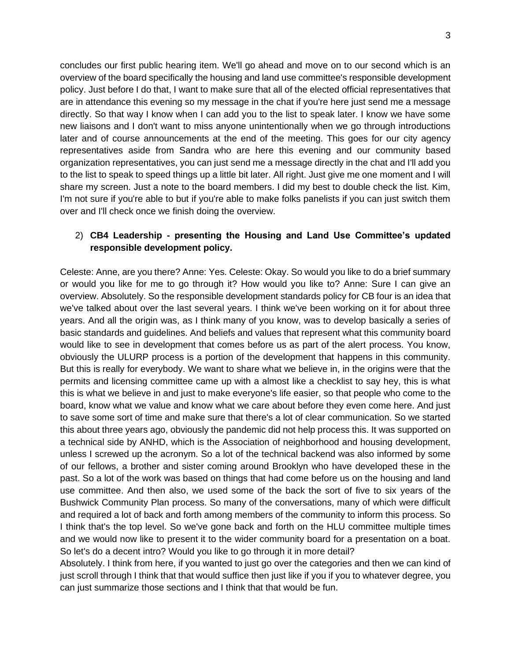concludes our first public hearing item. We'll go ahead and move on to our second which is an overview of the board specifically the housing and land use committee's responsible development policy. Just before I do that, I want to make sure that all of the elected official representatives that are in attendance this evening so my message in the chat if you're here just send me a message directly. So that way I know when I can add you to the list to speak later. I know we have some new liaisons and I don't want to miss anyone unintentionally when we go through introductions later and of course announcements at the end of the meeting. This goes for our city agency representatives aside from Sandra who are here this evening and our community based organization representatives, you can just send me a message directly in the chat and I'll add you to the list to speak to speed things up a little bit later. All right. Just give me one moment and I will share my screen. Just a note to the board members. I did my best to double check the list. Kim, I'm not sure if you're able to but if you're able to make folks panelists if you can just switch them over and I'll check once we finish doing the overview.

## 2) **CB4 Leadership - presenting the Housing and Land Use Committee's updated responsible development policy.**

Celeste: Anne, are you there? Anne: Yes. Celeste: Okay. So would you like to do a brief summary or would you like for me to go through it? How would you like to? Anne: Sure I can give an overview. Absolutely. So the responsible development standards policy for CB four is an idea that we've talked about over the last several years. I think we've been working on it for about three years. And all the origin was, as I think many of you know, was to develop basically a series of basic standards and guidelines. And beliefs and values that represent what this community board would like to see in development that comes before us as part of the alert process. You know, obviously the ULURP process is a portion of the development that happens in this community. But this is really for everybody. We want to share what we believe in, in the origins were that the permits and licensing committee came up with a almost like a checklist to say hey, this is what this is what we believe in and just to make everyone's life easier, so that people who come to the board, know what we value and know what we care about before they even come here. And just to save some sort of time and make sure that there's a lot of clear communication. So we started this about three years ago, obviously the pandemic did not help process this. It was supported on a technical side by ANHD, which is the Association of neighborhood and housing development, unless I screwed up the acronym. So a lot of the technical backend was also informed by some of our fellows, a brother and sister coming around Brooklyn who have developed these in the past. So a lot of the work was based on things that had come before us on the housing and land use committee. And then also, we used some of the back the sort of five to six years of the Bushwick Community Plan process. So many of the conversations, many of which were difficult and required a lot of back and forth among members of the community to inform this process. So I think that's the top level. So we've gone back and forth on the HLU committee multiple times and we would now like to present it to the wider community board for a presentation on a boat. So let's do a decent intro? Would you like to go through it in more detail?

Absolutely. I think from here, if you wanted to just go over the categories and then we can kind of just scroll through I think that that would suffice then just like if you if you to whatever degree, you can just summarize those sections and I think that that would be fun.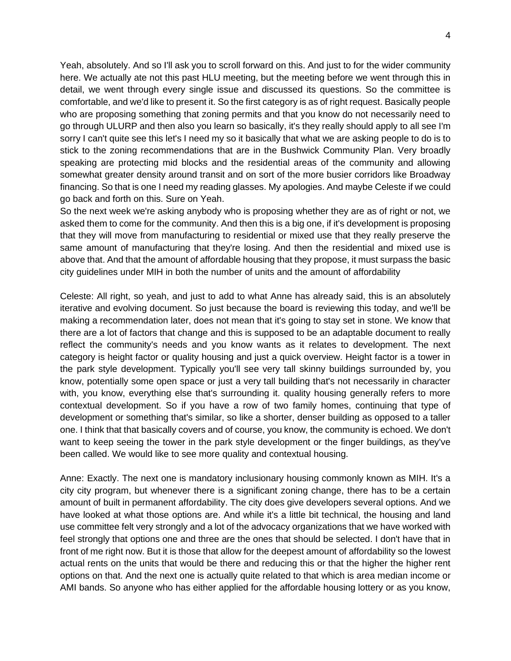Yeah, absolutely. And so I'll ask you to scroll forward on this. And just to for the wider community here. We actually ate not this past HLU meeting, but the meeting before we went through this in detail, we went through every single issue and discussed its questions. So the committee is comfortable, and we'd like to present it. So the first category is as of right request. Basically people who are proposing something that zoning permits and that you know do not necessarily need to go through ULURP and then also you learn so basically, it's they really should apply to all see I'm sorry I can't quite see this let's I need my so it basically that what we are asking people to do is to stick to the zoning recommendations that are in the Bushwick Community Plan. Very broadly speaking are protecting mid blocks and the residential areas of the community and allowing somewhat greater density around transit and on sort of the more busier corridors like Broadway financing. So that is one I need my reading glasses. My apologies. And maybe Celeste if we could go back and forth on this. Sure on Yeah.

So the next week we're asking anybody who is proposing whether they are as of right or not, we asked them to come for the community. And then this is a big one, if it's development is proposing that they will move from manufacturing to residential or mixed use that they really preserve the same amount of manufacturing that they're losing. And then the residential and mixed use is above that. And that the amount of affordable housing that they propose, it must surpass the basic city guidelines under MIH in both the number of units and the amount of affordability

Celeste: All right, so yeah, and just to add to what Anne has already said, this is an absolutely iterative and evolving document. So just because the board is reviewing this today, and we'll be making a recommendation later, does not mean that it's going to stay set in stone. We know that there are a lot of factors that change and this is supposed to be an adaptable document to really reflect the community's needs and you know wants as it relates to development. The next category is height factor or quality housing and just a quick overview. Height factor is a tower in the park style development. Typically you'll see very tall skinny buildings surrounded by, you know, potentially some open space or just a very tall building that's not necessarily in character with, you know, everything else that's surrounding it. quality housing generally refers to more contextual development. So if you have a row of two family homes, continuing that type of development or something that's similar, so like a shorter, denser building as opposed to a taller one. I think that that basically covers and of course, you know, the community is echoed. We don't want to keep seeing the tower in the park style development or the finger buildings, as they've been called. We would like to see more quality and contextual housing.

Anne: Exactly. The next one is mandatory inclusionary housing commonly known as MIH. It's a city city program, but whenever there is a significant zoning change, there has to be a certain amount of built in permanent affordability. The city does give developers several options. And we have looked at what those options are. And while it's a little bit technical, the housing and land use committee felt very strongly and a lot of the advocacy organizations that we have worked with feel strongly that options one and three are the ones that should be selected. I don't have that in front of me right now. But it is those that allow for the deepest amount of affordability so the lowest actual rents on the units that would be there and reducing this or that the higher the higher rent options on that. And the next one is actually quite related to that which is area median income or AMI bands. So anyone who has either applied for the affordable housing lottery or as you know,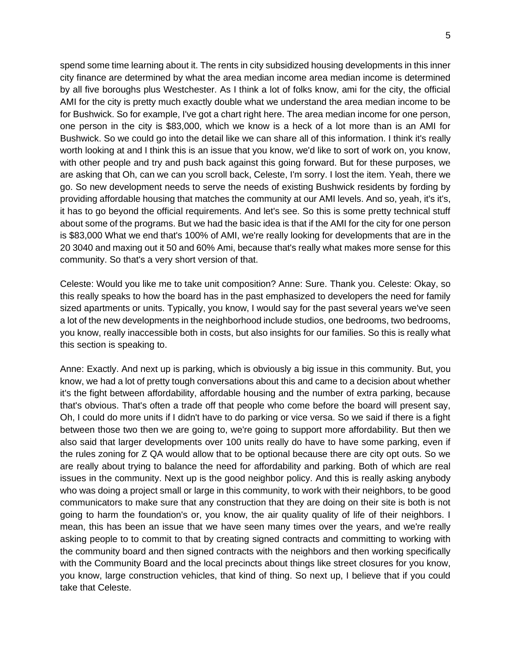spend some time learning about it. The rents in city subsidized housing developments in this inner city finance are determined by what the area median income area median income is determined by all five boroughs plus Westchester. As I think a lot of folks know, ami for the city, the official AMI for the city is pretty much exactly double what we understand the area median income to be for Bushwick. So for example, I've got a chart right here. The area median income for one person, one person in the city is \$83,000, which we know is a heck of a lot more than is an AMI for Bushwick. So we could go into the detail like we can share all of this information. I think it's really worth looking at and I think this is an issue that you know, we'd like to sort of work on, you know, with other people and try and push back against this going forward. But for these purposes, we are asking that Oh, can we can you scroll back, Celeste, I'm sorry. I lost the item. Yeah, there we go. So new development needs to serve the needs of existing Bushwick residents by fording by providing affordable housing that matches the community at our AMI levels. And so, yeah, it's it's, it has to go beyond the official requirements. And let's see. So this is some pretty technical stuff about some of the programs. But we had the basic idea is that if the AMI for the city for one person is \$83,000 What we end that's 100% of AMI, we're really looking for developments that are in the 20 3040 and maxing out it 50 and 60% Ami, because that's really what makes more sense for this community. So that's a very short version of that.

Celeste: Would you like me to take unit composition? Anne: Sure. Thank you. Celeste: Okay, so this really speaks to how the board has in the past emphasized to developers the need for family sized apartments or units. Typically, you know, I would say for the past several years we've seen a lot of the new developments in the neighborhood include studios, one bedrooms, two bedrooms, you know, really inaccessible both in costs, but also insights for our families. So this is really what this section is speaking to.

Anne: Exactly. And next up is parking, which is obviously a big issue in this community. But, you know, we had a lot of pretty tough conversations about this and came to a decision about whether it's the fight between affordability, affordable housing and the number of extra parking, because that's obvious. That's often a trade off that people who come before the board will present say, Oh, I could do more units if I didn't have to do parking or vice versa. So we said if there is a fight between those two then we are going to, we're going to support more affordability. But then we also said that larger developments over 100 units really do have to have some parking, even if the rules zoning for Z QA would allow that to be optional because there are city opt outs. So we are really about trying to balance the need for affordability and parking. Both of which are real issues in the community. Next up is the good neighbor policy. And this is really asking anybody who was doing a project small or large in this community, to work with their neighbors, to be good communicators to make sure that any construction that they are doing on their site is both is not going to harm the foundation's or, you know, the air quality quality of life of their neighbors. I mean, this has been an issue that we have seen many times over the years, and we're really asking people to to commit to that by creating signed contracts and committing to working with the community board and then signed contracts with the neighbors and then working specifically with the Community Board and the local precincts about things like street closures for you know, you know, large construction vehicles, that kind of thing. So next up, I believe that if you could take that Celeste.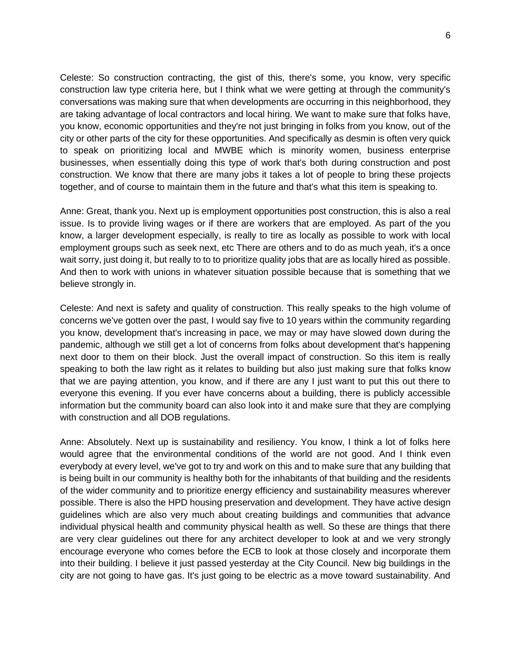Celeste: So construction contracting, the gist of this, there's some, you know, very specific construction law type criteria here, but I think what we were getting at through the community's conversations was making sure that when developments are occurring in this neighborhood, they are taking advantage of local contractors and local hiring. We want to make sure that folks have, you know, economic opportunities and they're not just bringing in folks from you know, out of the city or other parts of the city for these opportunities. And specifically as desmin is often very quick to speak on prioritizing local and MWBE which is minority women, business enterprise businesses, when essentially doing this type of work that's both during construction and post construction. We know that there are many jobs it takes a lot of people to bring these projects together, and of course to maintain them in the future and that's what this item is speaking to.

Anne: Great, thank you. Next up is employment opportunities post construction, this is also a real issue. Is to provide living wages or if there are workers that are employed. As part of the you know, a larger development especially, is really to tire as locally as possible to work with local employment groups such as seek next, etc There are others and to do as much yeah, it's a once wait sorry, just doing it, but really to to to prioritize quality jobs that are as locally hired as possible. And then to work with unions in whatever situation possible because that is something that we believe strongly in.

Celeste: And next is safety and quality of construction. This really speaks to the high volume of concerns we've gotten over the past, I would say five to 10 years within the community regarding you know, development that's increasing in pace, we may or may have slowed down during the pandemic, although we still get a lot of concerns from folks about development that's happening next door to them on their block. Just the overall impact of construction. So this item is really speaking to both the law right as it relates to building but also just making sure that folks know that we are paying attention, you know, and if there are any I just want to put this out there to everyone this evening. If you ever have concerns about a building, there is publicly accessible information but the community board can also look into it and make sure that they are complying with construction and all DOB regulations.

Anne: Absolutely. Next up is sustainability and resiliency. You know, I think a lot of folks here would agree that the environmental conditions of the world are not good. And I think even everybody at every level, we've got to try and work on this and to make sure that any building that is being built in our community is healthy both for the inhabitants of that building and the residents of the wider community and to prioritize energy efficiency and sustainability measures wherever possible. There is also the HPD housing preservation and development. They have active design guidelines which are also very much about creating buildings and communities that advance individual physical health and community physical health as well. So these are things that there are very clear guidelines out there for any architect developer to look at and we very strongly encourage everyone who comes before the ECB to look at those closely and incorporate them into their building. I believe it just passed yesterday at the City Council. New big buildings in the city are not going to have gas. It's just going to be electric as a move toward sustainability. And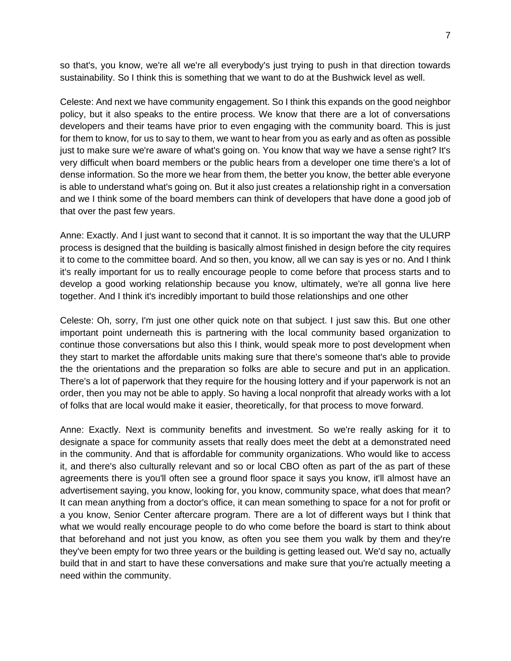so that's, you know, we're all we're all everybody's just trying to push in that direction towards sustainability. So I think this is something that we want to do at the Bushwick level as well.

Celeste: And next we have community engagement. So I think this expands on the good neighbor policy, but it also speaks to the entire process. We know that there are a lot of conversations developers and their teams have prior to even engaging with the community board. This is just for them to know, for us to say to them, we want to hear from you as early and as often as possible just to make sure we're aware of what's going on. You know that way we have a sense right? It's very difficult when board members or the public hears from a developer one time there's a lot of dense information. So the more we hear from them, the better you know, the better able everyone is able to understand what's going on. But it also just creates a relationship right in a conversation and we I think some of the board members can think of developers that have done a good job of that over the past few years.

Anne: Exactly. And I just want to second that it cannot. It is so important the way that the ULURP process is designed that the building is basically almost finished in design before the city requires it to come to the committee board. And so then, you know, all we can say is yes or no. And I think it's really important for us to really encourage people to come before that process starts and to develop a good working relationship because you know, ultimately, we're all gonna live here together. And I think it's incredibly important to build those relationships and one other

Celeste: Oh, sorry, I'm just one other quick note on that subject. I just saw this. But one other important point underneath this is partnering with the local community based organization to continue those conversations but also this I think, would speak more to post development when they start to market the affordable units making sure that there's someone that's able to provide the the orientations and the preparation so folks are able to secure and put in an application. There's a lot of paperwork that they require for the housing lottery and if your paperwork is not an order, then you may not be able to apply. So having a local nonprofit that already works with a lot of folks that are local would make it easier, theoretically, for that process to move forward.

Anne: Exactly. Next is community benefits and investment. So we're really asking for it to designate a space for community assets that really does meet the debt at a demonstrated need in the community. And that is affordable for community organizations. Who would like to access it, and there's also culturally relevant and so or local CBO often as part of the as part of these agreements there is you'll often see a ground floor space it says you know, it'll almost have an advertisement saying, you know, looking for, you know, community space, what does that mean? It can mean anything from a doctor's office, it can mean something to space for a not for profit or a you know, Senior Center aftercare program. There are a lot of different ways but I think that what we would really encourage people to do who come before the board is start to think about that beforehand and not just you know, as often you see them you walk by them and they're they've been empty for two three years or the building is getting leased out. We'd say no, actually build that in and start to have these conversations and make sure that you're actually meeting a need within the community.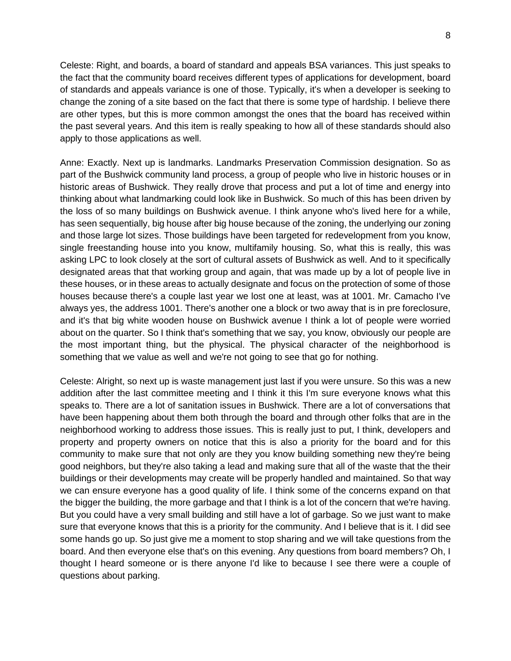Celeste: Right, and boards, a board of standard and appeals BSA variances. This just speaks to the fact that the community board receives different types of applications for development, board of standards and appeals variance is one of those. Typically, it's when a developer is seeking to change the zoning of a site based on the fact that there is some type of hardship. I believe there are other types, but this is more common amongst the ones that the board has received within the past several years. And this item is really speaking to how all of these standards should also apply to those applications as well.

Anne: Exactly. Next up is landmarks. Landmarks Preservation Commission designation. So as part of the Bushwick community land process, a group of people who live in historic houses or in historic areas of Bushwick. They really drove that process and put a lot of time and energy into thinking about what landmarking could look like in Bushwick. So much of this has been driven by the loss of so many buildings on Bushwick avenue. I think anyone who's lived here for a while, has seen sequentially, big house after big house because of the zoning, the underlying our zoning and those large lot sizes. Those buildings have been targeted for redevelopment from you know, single freestanding house into you know, multifamily housing. So, what this is really, this was asking LPC to look closely at the sort of cultural assets of Bushwick as well. And to it specifically designated areas that that working group and again, that was made up by a lot of people live in these houses, or in these areas to actually designate and focus on the protection of some of those houses because there's a couple last year we lost one at least, was at 1001. Mr. Camacho I've always yes, the address 1001. There's another one a block or two away that is in pre foreclosure, and it's that big white wooden house on Bushwick avenue I think a lot of people were worried about on the quarter. So I think that's something that we say, you know, obviously our people are the most important thing, but the physical. The physical character of the neighborhood is something that we value as well and we're not going to see that go for nothing.

Celeste: Alright, so next up is waste management just last if you were unsure. So this was a new addition after the last committee meeting and I think it this I'm sure everyone knows what this speaks to. There are a lot of sanitation issues in Bushwick. There are a lot of conversations that have been happening about them both through the board and through other folks that are in the neighborhood working to address those issues. This is really just to put, I think, developers and property and property owners on notice that this is also a priority for the board and for this community to make sure that not only are they you know building something new they're being good neighbors, but they're also taking a lead and making sure that all of the waste that the their buildings or their developments may create will be properly handled and maintained. So that way we can ensure everyone has a good quality of life. I think some of the concerns expand on that the bigger the building, the more garbage and that I think is a lot of the concern that we're having. But you could have a very small building and still have a lot of garbage. So we just want to make sure that everyone knows that this is a priority for the community. And I believe that is it. I did see some hands go up. So just give me a moment to stop sharing and we will take questions from the board. And then everyone else that's on this evening. Any questions from board members? Oh, I thought I heard someone or is there anyone I'd like to because I see there were a couple of questions about parking.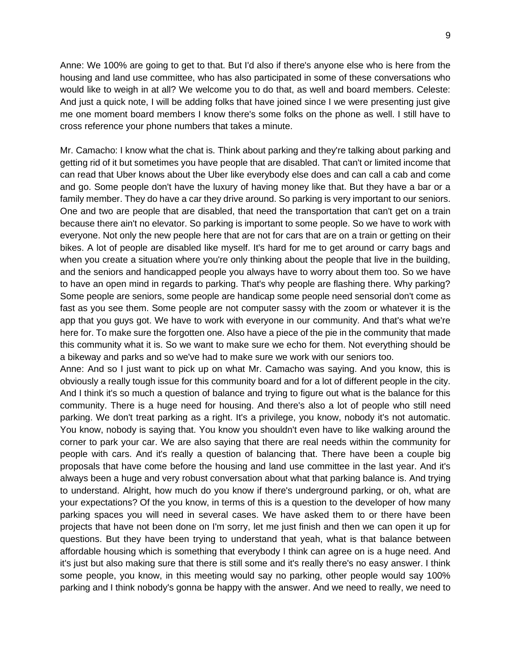Anne: We 100% are going to get to that. But I'd also if there's anyone else who is here from the housing and land use committee, who has also participated in some of these conversations who would like to weigh in at all? We welcome you to do that, as well and board members. Celeste: And just a quick note, I will be adding folks that have joined since I we were presenting just give me one moment board members I know there's some folks on the phone as well. I still have to cross reference your phone numbers that takes a minute.

Mr. Camacho: I know what the chat is. Think about parking and they're talking about parking and getting rid of it but sometimes you have people that are disabled. That can't or limited income that can read that Uber knows about the Uber like everybody else does and can call a cab and come and go. Some people don't have the luxury of having money like that. But they have a bar or a family member. They do have a car they drive around. So parking is very important to our seniors. One and two are people that are disabled, that need the transportation that can't get on a train because there ain't no elevator. So parking is important to some people. So we have to work with everyone. Not only the new people here that are not for cars that are on a train or getting on their bikes. A lot of people are disabled like myself. It's hard for me to get around or carry bags and when you create a situation where you're only thinking about the people that live in the building, and the seniors and handicapped people you always have to worry about them too. So we have to have an open mind in regards to parking. That's why people are flashing there. Why parking? Some people are seniors, some people are handicap some people need sensorial don't come as fast as you see them. Some people are not computer sassy with the zoom or whatever it is the app that you guys got. We have to work with everyone in our community. And that's what we're here for. To make sure the forgotten one. Also have a piece of the pie in the community that made this community what it is. So we want to make sure we echo for them. Not everything should be a bikeway and parks and so we've had to make sure we work with our seniors too.

Anne: And so I just want to pick up on what Mr. Camacho was saying. And you know, this is obviously a really tough issue for this community board and for a lot of different people in the city. And I think it's so much a question of balance and trying to figure out what is the balance for this community. There is a huge need for housing. And there's also a lot of people who still need parking. We don't treat parking as a right. It's a privilege, you know, nobody it's not automatic. You know, nobody is saying that. You know you shouldn't even have to like walking around the corner to park your car. We are also saying that there are real needs within the community for people with cars. And it's really a question of balancing that. There have been a couple big proposals that have come before the housing and land use committee in the last year. And it's always been a huge and very robust conversation about what that parking balance is. And trying to understand. Alright, how much do you know if there's underground parking, or oh, what are your expectations? Of the you know, in terms of this is a question to the developer of how many parking spaces you will need in several cases. We have asked them to or there have been projects that have not been done on I'm sorry, let me just finish and then we can open it up for questions. But they have been trying to understand that yeah, what is that balance between affordable housing which is something that everybody I think can agree on is a huge need. And it's just but also making sure that there is still some and it's really there's no easy answer. I think some people, you know, in this meeting would say no parking, other people would say 100% parking and I think nobody's gonna be happy with the answer. And we need to really, we need to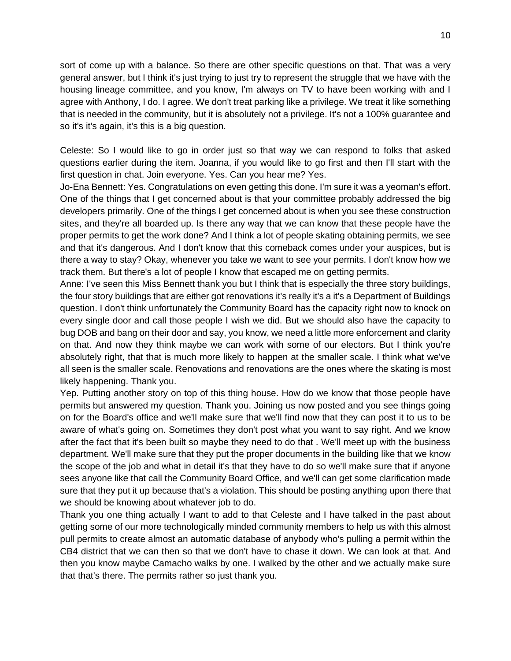sort of come up with a balance. So there are other specific questions on that. That was a very general answer, but I think it's just trying to just try to represent the struggle that we have with the housing lineage committee, and you know, I'm always on TV to have been working with and I agree with Anthony, I do. I agree. We don't treat parking like a privilege. We treat it like something that is needed in the community, but it is absolutely not a privilege. It's not a 100% guarantee and so it's it's again, it's this is a big question.

Celeste: So I would like to go in order just so that way we can respond to folks that asked questions earlier during the item. Joanna, if you would like to go first and then I'll start with the first question in chat. Join everyone. Yes. Can you hear me? Yes.

Jo-Ena Bennett: Yes. Congratulations on even getting this done. I'm sure it was a yeoman's effort. One of the things that I get concerned about is that your committee probably addressed the big developers primarily. One of the things I get concerned about is when you see these construction sites, and they're all boarded up. Is there any way that we can know that these people have the proper permits to get the work done? And I think a lot of people skating obtaining permits, we see and that it's dangerous. And I don't know that this comeback comes under your auspices, but is there a way to stay? Okay, whenever you take we want to see your permits. I don't know how we track them. But there's a lot of people I know that escaped me on getting permits.

Anne: I've seen this Miss Bennett thank you but I think that is especially the three story buildings, the four story buildings that are either got renovations it's really it's a it's a Department of Buildings question. I don't think unfortunately the Community Board has the capacity right now to knock on every single door and call those people I wish we did. But we should also have the capacity to bug DOB and bang on their door and say, you know, we need a little more enforcement and clarity on that. And now they think maybe we can work with some of our electors. But I think you're absolutely right, that that is much more likely to happen at the smaller scale. I think what we've all seen is the smaller scale. Renovations and renovations are the ones where the skating is most likely happening. Thank you.

Yep. Putting another story on top of this thing house. How do we know that those people have permits but answered my question. Thank you. Joining us now posted and you see things going on for the Board's office and we'll make sure that we'll find now that they can post it to us to be aware of what's going on. Sometimes they don't post what you want to say right. And we know after the fact that it's been built so maybe they need to do that . We'll meet up with the business department. We'll make sure that they put the proper documents in the building like that we know the scope of the job and what in detail it's that they have to do so we'll make sure that if anyone sees anyone like that call the Community Board Office, and we'll can get some clarification made sure that they put it up because that's a violation. This should be posting anything upon there that we should be knowing about whatever job to do.

Thank you one thing actually I want to add to that Celeste and I have talked in the past about getting some of our more technologically minded community members to help us with this almost pull permits to create almost an automatic database of anybody who's pulling a permit within the CB4 district that we can then so that we don't have to chase it down. We can look at that. And then you know maybe Camacho walks by one. I walked by the other and we actually make sure that that's there. The permits rather so just thank you.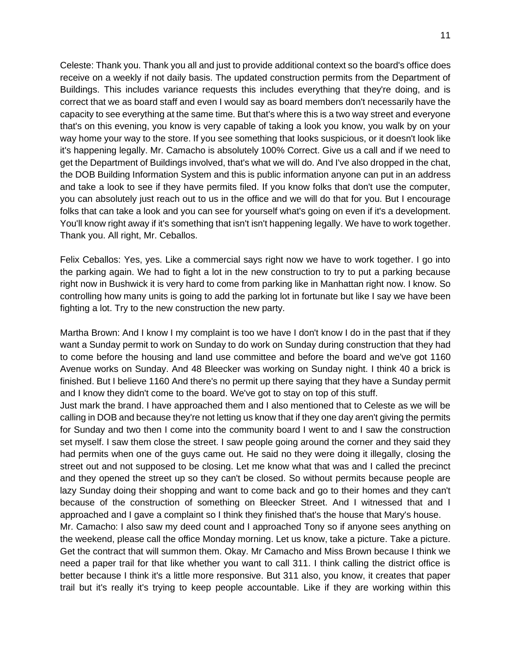Celeste: Thank you. Thank you all and just to provide additional context so the board's office does receive on a weekly if not daily basis. The updated construction permits from the Department of Buildings. This includes variance requests this includes everything that they're doing, and is correct that we as board staff and even I would say as board members don't necessarily have the capacity to see everything at the same time. But that's where this is a two way street and everyone that's on this evening, you know is very capable of taking a look you know, you walk by on your way home your way to the store. If you see something that looks suspicious, or it doesn't look like it's happening legally. Mr. Camacho is absolutely 100% Correct. Give us a call and if we need to get the Department of Buildings involved, that's what we will do. And I've also dropped in the chat, the DOB Building Information System and this is public information anyone can put in an address and take a look to see if they have permits filed. If you know folks that don't use the computer, you can absolutely just reach out to us in the office and we will do that for you. But I encourage folks that can take a look and you can see for yourself what's going on even if it's a development. You'll know right away if it's something that isn't isn't happening legally. We have to work together. Thank you. All right, Mr. Ceballos.

Felix Ceballos: Yes, yes. Like a commercial says right now we have to work together. I go into the parking again. We had to fight a lot in the new construction to try to put a parking because right now in Bushwick it is very hard to come from parking like in Manhattan right now. I know. So controlling how many units is going to add the parking lot in fortunate but like I say we have been fighting a lot. Try to the new construction the new party.

Martha Brown: And I know I my complaint is too we have I don't know I do in the past that if they want a Sunday permit to work on Sunday to do work on Sunday during construction that they had to come before the housing and land use committee and before the board and we've got 1160 Avenue works on Sunday. And 48 Bleecker was working on Sunday night. I think 40 a brick is finished. But I believe 1160 And there's no permit up there saying that they have a Sunday permit and I know they didn't come to the board. We've got to stay on top of this stuff.

Just mark the brand. I have approached them and I also mentioned that to Celeste as we will be calling in DOB and because they're not letting us know that if they one day aren't giving the permits for Sunday and two then I come into the community board I went to and I saw the construction set myself. I saw them close the street. I saw people going around the corner and they said they had permits when one of the guys came out. He said no they were doing it illegally, closing the street out and not supposed to be closing. Let me know what that was and I called the precinct and they opened the street up so they can't be closed. So without permits because people are lazy Sunday doing their shopping and want to come back and go to their homes and they can't because of the construction of something on Bleecker Street. And I witnessed that and I approached and I gave a complaint so I think they finished that's the house that Mary's house.

Mr. Camacho: I also saw my deed count and I approached Tony so if anyone sees anything on the weekend, please call the office Monday morning. Let us know, take a picture. Take a picture. Get the contract that will summon them. Okay. Mr Camacho and Miss Brown because I think we need a paper trail for that like whether you want to call 311. I think calling the district office is better because I think it's a little more responsive. But 311 also, you know, it creates that paper trail but it's really it's trying to keep people accountable. Like if they are working within this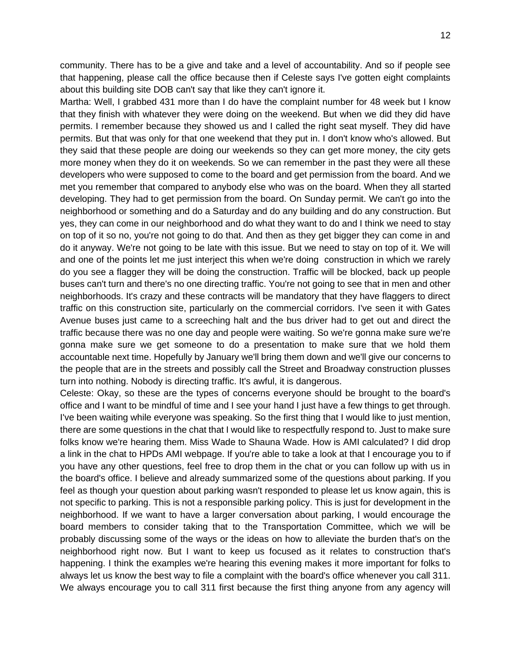community. There has to be a give and take and a level of accountability. And so if people see that happening, please call the office because then if Celeste says I've gotten eight complaints about this building site DOB can't say that like they can't ignore it.

Martha: Well, I grabbed 431 more than I do have the complaint number for 48 week but I know that they finish with whatever they were doing on the weekend. But when we did they did have permits. I remember because they showed us and I called the right seat myself. They did have permits. But that was only for that one weekend that they put in. I don't know who's allowed. But they said that these people are doing our weekends so they can get more money, the city gets more money when they do it on weekends. So we can remember in the past they were all these developers who were supposed to come to the board and get permission from the board. And we met you remember that compared to anybody else who was on the board. When they all started developing. They had to get permission from the board. On Sunday permit. We can't go into the neighborhood or something and do a Saturday and do any building and do any construction. But yes, they can come in our neighborhood and do what they want to do and I think we need to stay on top of it so no, you're not going to do that. And then as they get bigger they can come in and do it anyway. We're not going to be late with this issue. But we need to stay on top of it. We will and one of the points let me just interject this when we're doing construction in which we rarely do you see a flagger they will be doing the construction. Traffic will be blocked, back up people buses can't turn and there's no one directing traffic. You're not going to see that in men and other neighborhoods. It's crazy and these contracts will be mandatory that they have flaggers to direct traffic on this construction site, particularly on the commercial corridors. I've seen it with Gates Avenue buses just came to a screeching halt and the bus driver had to get out and direct the traffic because there was no one day and people were waiting. So we're gonna make sure we're gonna make sure we get someone to do a presentation to make sure that we hold them accountable next time. Hopefully by January we'll bring them down and we'll give our concerns to the people that are in the streets and possibly call the Street and Broadway construction plusses turn into nothing. Nobody is directing traffic. It's awful, it is dangerous.

Celeste: Okay, so these are the types of concerns everyone should be brought to the board's office and I want to be mindful of time and I see your hand I just have a few things to get through. I've been waiting while everyone was speaking. So the first thing that I would like to just mention, there are some questions in the chat that I would like to respectfully respond to. Just to make sure folks know we're hearing them. Miss Wade to Shauna Wade. How is AMI calculated? I did drop a link in the chat to HPDs AMI webpage. If you're able to take a look at that I encourage you to if you have any other questions, feel free to drop them in the chat or you can follow up with us in the board's office. I believe and already summarized some of the questions about parking. If you feel as though your question about parking wasn't responded to please let us know again, this is not specific to parking. This is not a responsible parking policy. This is just for development in the neighborhood. If we want to have a larger conversation about parking, I would encourage the board members to consider taking that to the Transportation Committee, which we will be probably discussing some of the ways or the ideas on how to alleviate the burden that's on the neighborhood right now. But I want to keep us focused as it relates to construction that's happening. I think the examples we're hearing this evening makes it more important for folks to always let us know the best way to file a complaint with the board's office whenever you call 311. We always encourage you to call 311 first because the first thing anyone from any agency will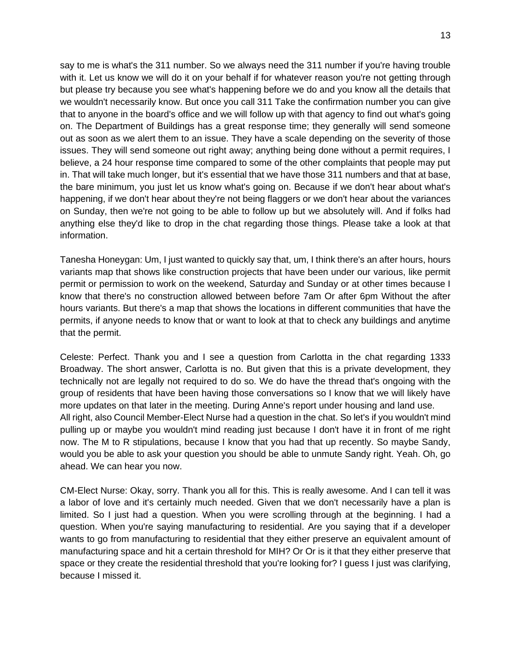say to me is what's the 311 number. So we always need the 311 number if you're having trouble with it. Let us know we will do it on your behalf if for whatever reason you're not getting through but please try because you see what's happening before we do and you know all the details that we wouldn't necessarily know. But once you call 311 Take the confirmation number you can give that to anyone in the board's office and we will follow up with that agency to find out what's going on. The Department of Buildings has a great response time; they generally will send someone out as soon as we alert them to an issue. They have a scale depending on the severity of those issues. They will send someone out right away; anything being done without a permit requires, I believe, a 24 hour response time compared to some of the other complaints that people may put in. That will take much longer, but it's essential that we have those 311 numbers and that at base, the bare minimum, you just let us know what's going on. Because if we don't hear about what's happening, if we don't hear about they're not being flaggers or we don't hear about the variances on Sunday, then we're not going to be able to follow up but we absolutely will. And if folks had anything else they'd like to drop in the chat regarding those things. Please take a look at that information.

Tanesha Honeygan: Um, I just wanted to quickly say that, um, I think there's an after hours, hours variants map that shows like construction projects that have been under our various, like permit permit or permission to work on the weekend, Saturday and Sunday or at other times because I know that there's no construction allowed between before 7am Or after 6pm Without the after hours variants. But there's a map that shows the locations in different communities that have the permits, if anyone needs to know that or want to look at that to check any buildings and anytime that the permit.

Celeste: Perfect. Thank you and I see a question from Carlotta in the chat regarding 1333 Broadway. The short answer, Carlotta is no. But given that this is a private development, they technically not are legally not required to do so. We do have the thread that's ongoing with the group of residents that have been having those conversations so I know that we will likely have more updates on that later in the meeting. During Anne's report under housing and land use. All right, also Council Member-Elect Nurse had a question in the chat. So let's if you wouldn't mind pulling up or maybe you wouldn't mind reading just because I don't have it in front of me right now. The M to R stipulations, because I know that you had that up recently. So maybe Sandy, would you be able to ask your question you should be able to unmute Sandy right. Yeah. Oh, go ahead. We can hear you now.

CM-Elect Nurse: Okay, sorry. Thank you all for this. This is really awesome. And I can tell it was a labor of love and it's certainly much needed. Given that we don't necessarily have a plan is limited. So I just had a question. When you were scrolling through at the beginning. I had a question. When you're saying manufacturing to residential. Are you saying that if a developer wants to go from manufacturing to residential that they either preserve an equivalent amount of manufacturing space and hit a certain threshold for MIH? Or Or is it that they either preserve that space or they create the residential threshold that you're looking for? I guess I just was clarifying, because I missed it.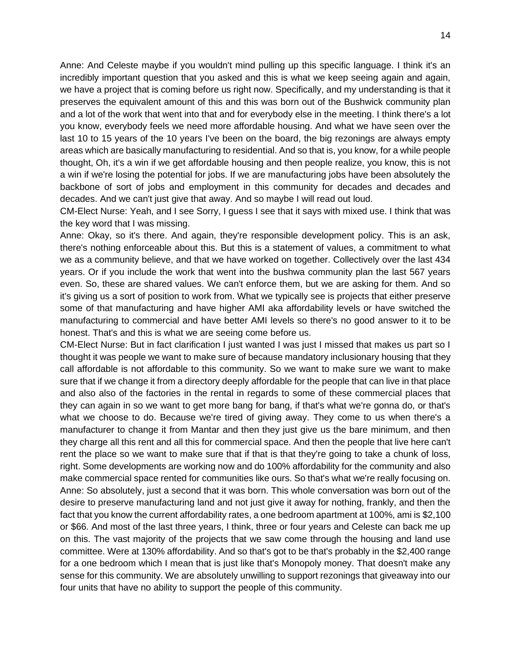Anne: And Celeste maybe if you wouldn't mind pulling up this specific language. I think it's an incredibly important question that you asked and this is what we keep seeing again and again, we have a project that is coming before us right now. Specifically, and my understanding is that it preserves the equivalent amount of this and this was born out of the Bushwick community plan and a lot of the work that went into that and for everybody else in the meeting. I think there's a lot you know, everybody feels we need more affordable housing. And what we have seen over the last 10 to 15 years of the 10 years I've been on the board, the big rezonings are always empty areas which are basically manufacturing to residential. And so that is, you know, for a while people thought, Oh, it's a win if we get affordable housing and then people realize, you know, this is not a win if we're losing the potential for jobs. If we are manufacturing jobs have been absolutely the backbone of sort of jobs and employment in this community for decades and decades and decades. And we can't just give that away. And so maybe I will read out loud.

CM-Elect Nurse: Yeah, and I see Sorry, I guess I see that it says with mixed use. I think that was the key word that I was missing.

Anne: Okay, so it's there. And again, they're responsible development policy. This is an ask, there's nothing enforceable about this. But this is a statement of values, a commitment to what we as a community believe, and that we have worked on together. Collectively over the last 434 years. Or if you include the work that went into the bushwa community plan the last 567 years even. So, these are shared values. We can't enforce them, but we are asking for them. And so it's giving us a sort of position to work from. What we typically see is projects that either preserve some of that manufacturing and have higher AMI aka affordability levels or have switched the manufacturing to commercial and have better AMI levels so there's no good answer to it to be honest. That's and this is what we are seeing come before us.

CM-Elect Nurse: But in fact clarification I just wanted I was just I missed that makes us part so I thought it was people we want to make sure of because mandatory inclusionary housing that they call affordable is not affordable to this community. So we want to make sure we want to make sure that if we change it from a directory deeply affordable for the people that can live in that place and also also of the factories in the rental in regards to some of these commercial places that they can again in so we want to get more bang for bang, if that's what we're gonna do, or that's what we choose to do. Because we're tired of giving away. They come to us when there's a manufacturer to change it from Mantar and then they just give us the bare minimum, and then they charge all this rent and all this for commercial space. And then the people that live here can't rent the place so we want to make sure that if that is that they're going to take a chunk of loss, right. Some developments are working now and do 100% affordability for the community and also make commercial space rented for communities like ours. So that's what we're really focusing on. Anne: So absolutely, just a second that it was born. This whole conversation was born out of the desire to preserve manufacturing land and not just give it away for nothing, frankly, and then the fact that you know the current affordability rates, a one bedroom apartment at 100%, ami is \$2,100 or \$66. And most of the last three years, I think, three or four years and Celeste can back me up on this. The vast majority of the projects that we saw come through the housing and land use committee. Were at 130% affordability. And so that's got to be that's probably in the \$2,400 range for a one bedroom which I mean that is just like that's Monopoly money. That doesn't make any sense for this community. We are absolutely unwilling to support rezonings that giveaway into our four units that have no ability to support the people of this community.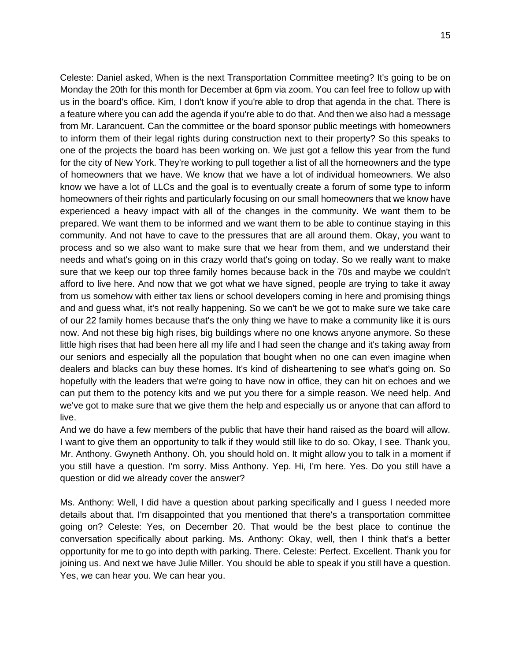Celeste: Daniel asked, When is the next Transportation Committee meeting? It's going to be on Monday the 20th for this month for December at 6pm via zoom. You can feel free to follow up with us in the board's office. Kim, I don't know if you're able to drop that agenda in the chat. There is a feature where you can add the agenda if you're able to do that. And then we also had a message from Mr. Larancuent. Can the committee or the board sponsor public meetings with homeowners to inform them of their legal rights during construction next to their property? So this speaks to one of the projects the board has been working on. We just got a fellow this year from the fund for the city of New York. They're working to pull together a list of all the homeowners and the type of homeowners that we have. We know that we have a lot of individual homeowners. We also know we have a lot of LLCs and the goal is to eventually create a forum of some type to inform homeowners of their rights and particularly focusing on our small homeowners that we know have experienced a heavy impact with all of the changes in the community. We want them to be prepared. We want them to be informed and we want them to be able to continue staying in this community. And not have to cave to the pressures that are all around them. Okay, you want to process and so we also want to make sure that we hear from them, and we understand their needs and what's going on in this crazy world that's going on today. So we really want to make sure that we keep our top three family homes because back in the 70s and maybe we couldn't afford to live here. And now that we got what we have signed, people are trying to take it away from us somehow with either tax liens or school developers coming in here and promising things and and guess what, it's not really happening. So we can't be we got to make sure we take care of our 22 family homes because that's the only thing we have to make a community like it is ours now. And not these big high rises, big buildings where no one knows anyone anymore. So these little high rises that had been here all my life and I had seen the change and it's taking away from our seniors and especially all the population that bought when no one can even imagine when dealers and blacks can buy these homes. It's kind of disheartening to see what's going on. So hopefully with the leaders that we're going to have now in office, they can hit on echoes and we can put them to the potency kits and we put you there for a simple reason. We need help. And we've got to make sure that we give them the help and especially us or anyone that can afford to live.

And we do have a few members of the public that have their hand raised as the board will allow. I want to give them an opportunity to talk if they would still like to do so. Okay, I see. Thank you, Mr. Anthony. Gwyneth Anthony. Oh, you should hold on. It might allow you to talk in a moment if you still have a question. I'm sorry. Miss Anthony. Yep. Hi, I'm here. Yes. Do you still have a question or did we already cover the answer?

Ms. Anthony: Well, I did have a question about parking specifically and I guess I needed more details about that. I'm disappointed that you mentioned that there's a transportation committee going on? Celeste: Yes, on December 20. That would be the best place to continue the conversation specifically about parking. Ms. Anthony: Okay, well, then I think that's a better opportunity for me to go into depth with parking. There. Celeste: Perfect. Excellent. Thank you for joining us. And next we have Julie Miller. You should be able to speak if you still have a question. Yes, we can hear you. We can hear you.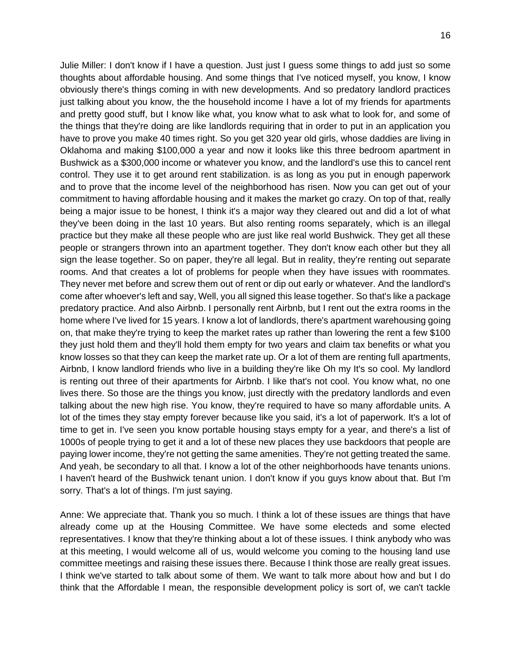Julie Miller: I don't know if I have a question. Just just I guess some things to add just so some thoughts about affordable housing. And some things that I've noticed myself, you know, I know obviously there's things coming in with new developments. And so predatory landlord practices just talking about you know, the the household income I have a lot of my friends for apartments and pretty good stuff, but I know like what, you know what to ask what to look for, and some of the things that they're doing are like landlords requiring that in order to put in an application you have to prove you make 40 times right. So you get 320 year old girls, whose daddies are living in Oklahoma and making \$100,000 a year and now it looks like this three bedroom apartment in Bushwick as a \$300,000 income or whatever you know, and the landlord's use this to cancel rent control. They use it to get around rent stabilization. is as long as you put in enough paperwork and to prove that the income level of the neighborhood has risen. Now you can get out of your commitment to having affordable housing and it makes the market go crazy. On top of that, really being a major issue to be honest, I think it's a major way they cleared out and did a lot of what they've been doing in the last 10 years. But also renting rooms separately, which is an illegal practice but they make all these people who are just like real world Bushwick. They get all these people or strangers thrown into an apartment together. They don't know each other but they all sign the lease together. So on paper, they're all legal. But in reality, they're renting out separate rooms. And that creates a lot of problems for people when they have issues with roommates. They never met before and screw them out of rent or dip out early or whatever. And the landlord's come after whoever's left and say, Well, you all signed this lease together. So that's like a package predatory practice. And also Airbnb. I personally rent Airbnb, but I rent out the extra rooms in the home where I've lived for 15 years. I know a lot of landlords, there's apartment warehousing going

on, that make they're trying to keep the market rates up rather than lowering the rent a few \$100 they just hold them and they'll hold them empty for two years and claim tax benefits or what you know losses so that they can keep the market rate up. Or a lot of them are renting full apartments, Airbnb, I know landlord friends who live in a building they're like Oh my It's so cool. My landlord is renting out three of their apartments for Airbnb. I like that's not cool. You know what, no one lives there. So those are the things you know, just directly with the predatory landlords and even talking about the new high rise. You know, they're required to have so many affordable units. A lot of the times they stay empty forever because like you said, it's a lot of paperwork. It's a lot of time to get in. I've seen you know portable housing stays empty for a year, and there's a list of 1000s of people trying to get it and a lot of these new places they use backdoors that people are paying lower income, they're not getting the same amenities. They're not getting treated the same. And yeah, be secondary to all that. I know a lot of the other neighborhoods have tenants unions. I haven't heard of the Bushwick tenant union. I don't know if you guys know about that. But I'm sorry. That's a lot of things. I'm just saying.

Anne: We appreciate that. Thank you so much. I think a lot of these issues are things that have already come up at the Housing Committee. We have some electeds and some elected representatives. I know that they're thinking about a lot of these issues. I think anybody who was at this meeting, I would welcome all of us, would welcome you coming to the housing land use committee meetings and raising these issues there. Because I think those are really great issues. I think we've started to talk about some of them. We want to talk more about how and but I do think that the Affordable I mean, the responsible development policy is sort of, we can't tackle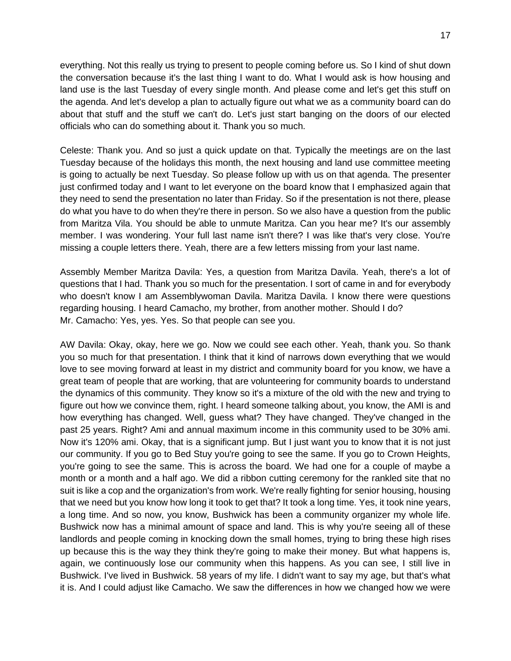everything. Not this really us trying to present to people coming before us. So I kind of shut down the conversation because it's the last thing I want to do. What I would ask is how housing and land use is the last Tuesday of every single month. And please come and let's get this stuff on the agenda. And let's develop a plan to actually figure out what we as a community board can do about that stuff and the stuff we can't do. Let's just start banging on the doors of our elected officials who can do something about it. Thank you so much.

Celeste: Thank you. And so just a quick update on that. Typically the meetings are on the last Tuesday because of the holidays this month, the next housing and land use committee meeting is going to actually be next Tuesday. So please follow up with us on that agenda. The presenter just confirmed today and I want to let everyone on the board know that I emphasized again that they need to send the presentation no later than Friday. So if the presentation is not there, please do what you have to do when they're there in person. So we also have a question from the public from Maritza Vila. You should be able to unmute Maritza. Can you hear me? It's our assembly member. I was wondering. Your full last name isn't there? I was like that's very close. You're missing a couple letters there. Yeah, there are a few letters missing from your last name.

Assembly Member Maritza Davila: Yes, a question from Maritza Davila. Yeah, there's a lot of questions that I had. Thank you so much for the presentation. I sort of came in and for everybody who doesn't know I am Assemblywoman Davila. Maritza Davila. I know there were questions regarding housing. I heard Camacho, my brother, from another mother. Should I do? Mr. Camacho: Yes, yes. Yes. So that people can see you.

AW Davila: Okay, okay, here we go. Now we could see each other. Yeah, thank you. So thank you so much for that presentation. I think that it kind of narrows down everything that we would love to see moving forward at least in my district and community board for you know, we have a great team of people that are working, that are volunteering for community boards to understand the dynamics of this community. They know so it's a mixture of the old with the new and trying to figure out how we convince them, right. I heard someone talking about, you know, the AMI is and how everything has changed. Well, guess what? They have changed. They've changed in the past 25 years. Right? Ami and annual maximum income in this community used to be 30% ami. Now it's 120% ami. Okay, that is a significant jump. But I just want you to know that it is not just our community. If you go to Bed Stuy you're going to see the same. If you go to Crown Heights, you're going to see the same. This is across the board. We had one for a couple of maybe a month or a month and a half ago. We did a ribbon cutting ceremony for the rankled site that no suit is like a cop and the organization's from work. We're really fighting for senior housing, housing that we need but you know how long it took to get that? It took a long time. Yes, it took nine years, a long time. And so now, you know, Bushwick has been a community organizer my whole life. Bushwick now has a minimal amount of space and land. This is why you're seeing all of these landlords and people coming in knocking down the small homes, trying to bring these high rises up because this is the way they think they're going to make their money. But what happens is, again, we continuously lose our community when this happens. As you can see, I still live in Bushwick. I've lived in Bushwick. 58 years of my life. I didn't want to say my age, but that's what it is. And I could adjust like Camacho. We saw the differences in how we changed how we were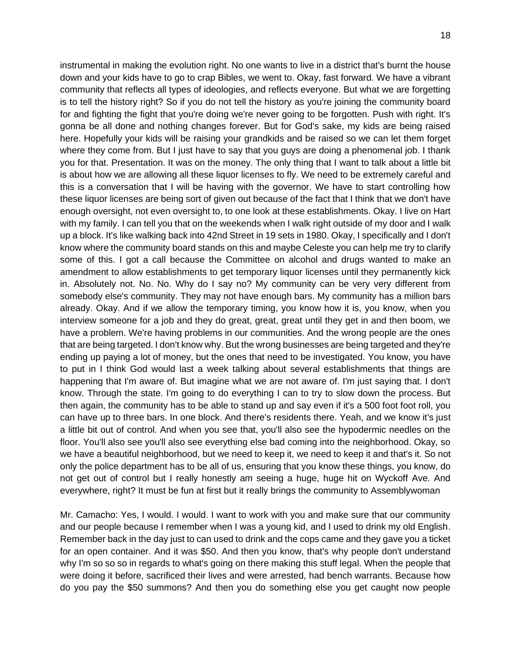instrumental in making the evolution right. No one wants to live in a district that's burnt the house down and your kids have to go to crap Bibles, we went to. Okay, fast forward. We have a vibrant community that reflects all types of ideologies, and reflects everyone. But what we are forgetting is to tell the history right? So if you do not tell the history as you're joining the community board for and fighting the fight that you're doing we're never going to be forgotten. Push with right. It's gonna be all done and nothing changes forever. But for God's sake, my kids are being raised here. Hopefully your kids will be raising your grandkids and be raised so we can let them forget where they come from. But I just have to say that you guys are doing a phenomenal job. I thank you for that. Presentation. It was on the money. The only thing that I want to talk about a little bit is about how we are allowing all these liquor licenses to fly. We need to be extremely careful and this is a conversation that I will be having with the governor. We have to start controlling how these liquor licenses are being sort of given out because of the fact that I think that we don't have enough oversight, not even oversight to, to one look at these establishments. Okay. I live on Hart with my family. I can tell you that on the weekends when I walk right outside of my door and I walk up a block. It's like walking back into 42nd Street in 19 sets in 1980. Okay, I specifically and I don't know where the community board stands on this and maybe Celeste you can help me try to clarify some of this. I got a call because the Committee on alcohol and drugs wanted to make an amendment to allow establishments to get temporary liquor licenses until they permanently kick in. Absolutely not. No. No. Why do I say no? My community can be very very different from somebody else's community. They may not have enough bars. My community has a million bars already. Okay. And if we allow the temporary timing, you know how it is, you know, when you interview someone for a job and they do great, great, great until they get in and then boom, we have a problem. We're having problems in our communities. And the wrong people are the ones that are being targeted. I don't know why. But the wrong businesses are being targeted and they're ending up paying a lot of money, but the ones that need to be investigated. You know, you have to put in I think God would last a week talking about several establishments that things are happening that I'm aware of. But imagine what we are not aware of. I'm just saying that. I don't know. Through the state. I'm going to do everything I can to try to slow down the process. But then again, the community has to be able to stand up and say even if it's a 500 foot foot roll, you can have up to three bars. In one block. And there's residents there. Yeah, and we know it's just a little bit out of control. And when you see that, you'll also see the hypodermic needles on the floor. You'll also see you'll also see everything else bad coming into the neighborhood. Okay, so we have a beautiful neighborhood, but we need to keep it, we need to keep it and that's it. So not only the police department has to be all of us, ensuring that you know these things, you know, do not get out of control but I really honestly am seeing a huge, huge hit on Wyckoff Ave. And everywhere, right? It must be fun at first but it really brings the community to Assemblywoman

Mr. Camacho: Yes, I would. I would. I want to work with you and make sure that our community and our people because I remember when I was a young kid, and I used to drink my old English. Remember back in the day just to can used to drink and the cops came and they gave you a ticket for an open container. And it was \$50. And then you know, that's why people don't understand why I'm so so so in regards to what's going on there making this stuff legal. When the people that were doing it before, sacrificed their lives and were arrested, had bench warrants. Because how do you pay the \$50 summons? And then you do something else you get caught now people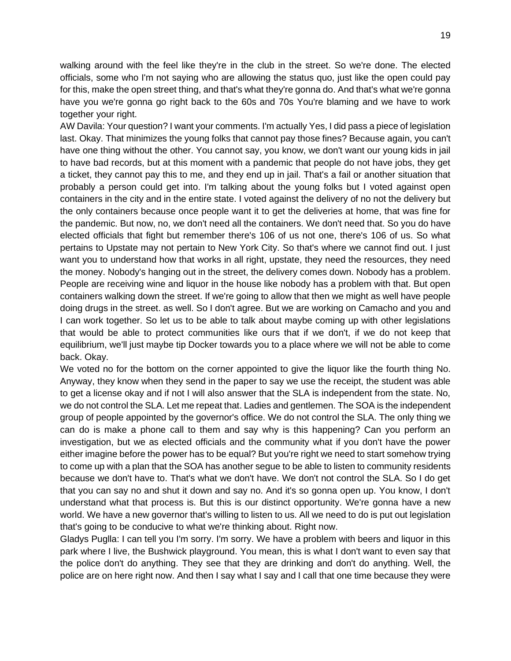walking around with the feel like they're in the club in the street. So we're done. The elected officials, some who I'm not saying who are allowing the status quo, just like the open could pay for this, make the open street thing, and that's what they're gonna do. And that's what we're gonna have you we're gonna go right back to the 60s and 70s You're blaming and we have to work together your right.

AW Davila: Your question? I want your comments. I'm actually Yes, I did pass a piece of legislation last. Okay. That minimizes the young folks that cannot pay those fines? Because again, you can't have one thing without the other. You cannot say, you know, we don't want our young kids in jail to have bad records, but at this moment with a pandemic that people do not have jobs, they get a ticket, they cannot pay this to me, and they end up in jail. That's a fail or another situation that probably a person could get into. I'm talking about the young folks but I voted against open containers in the city and in the entire state. I voted against the delivery of no not the delivery but the only containers because once people want it to get the deliveries at home, that was fine for the pandemic. But now, no, we don't need all the containers. We don't need that. So you do have elected officials that fight but remember there's 106 of us not one, there's 106 of us. So what pertains to Upstate may not pertain to New York City. So that's where we cannot find out. I just want you to understand how that works in all right, upstate, they need the resources, they need the money. Nobody's hanging out in the street, the delivery comes down. Nobody has a problem. People are receiving wine and liquor in the house like nobody has a problem with that. But open containers walking down the street. If we're going to allow that then we might as well have people doing drugs in the street. as well. So I don't agree. But we are working on Camacho and you and I can work together. So let us to be able to talk about maybe coming up with other legislations that would be able to protect communities like ours that if we don't, if we do not keep that equilibrium, we'll just maybe tip Docker towards you to a place where we will not be able to come back. Okay.

We voted no for the bottom on the corner appointed to give the liquor like the fourth thing No. Anyway, they know when they send in the paper to say we use the receipt, the student was able to get a license okay and if not I will also answer that the SLA is independent from the state. No, we do not control the SLA. Let me repeat that. Ladies and gentlemen. The SOA is the independent group of people appointed by the governor's office. We do not control the SLA. The only thing we can do is make a phone call to them and say why is this happening? Can you perform an investigation, but we as elected officials and the community what if you don't have the power either imagine before the power has to be equal? But you're right we need to start somehow trying to come up with a plan that the SOA has another segue to be able to listen to community residents because we don't have to. That's what we don't have. We don't not control the SLA. So I do get that you can say no and shut it down and say no. And it's so gonna open up. You know, I don't understand what that process is. But this is our distinct opportunity. We're gonna have a new world. We have a new governor that's willing to listen to us. All we need to do is put out legislation that's going to be conducive to what we're thinking about. Right now.

Gladys Puglla: I can tell you I'm sorry. I'm sorry. We have a problem with beers and liquor in this park where I live, the Bushwick playground. You mean, this is what I don't want to even say that the police don't do anything. They see that they are drinking and don't do anything. Well, the police are on here right now. And then I say what I say and I call that one time because they were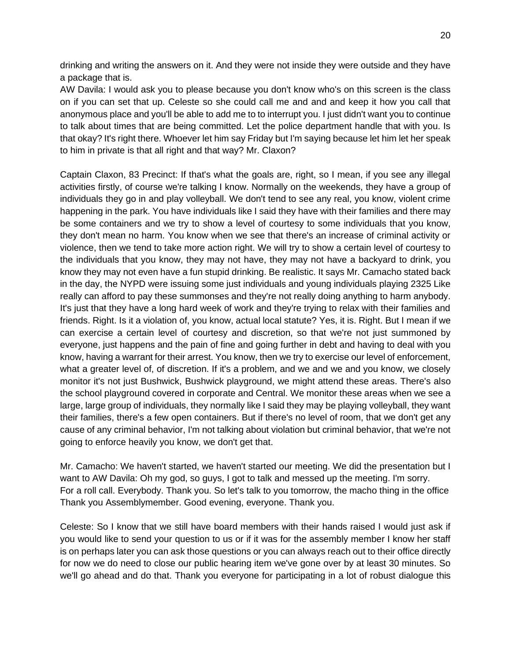drinking and writing the answers on it. And they were not inside they were outside and they have a package that is.

AW Davila: I would ask you to please because you don't know who's on this screen is the class on if you can set that up. Celeste so she could call me and and and keep it how you call that anonymous place and you'll be able to add me to to interrupt you. I just didn't want you to continue to talk about times that are being committed. Let the police department handle that with you. Is that okay? It's right there. Whoever let him say Friday but I'm saying because let him let her speak to him in private is that all right and that way? Mr. Claxon?

Captain Claxon, 83 Precinct: If that's what the goals are, right, so I mean, if you see any illegal activities firstly, of course we're talking I know. Normally on the weekends, they have a group of individuals they go in and play volleyball. We don't tend to see any real, you know, violent crime happening in the park. You have individuals like I said they have with their families and there may be some containers and we try to show a level of courtesy to some individuals that you know, they don't mean no harm. You know when we see that there's an increase of criminal activity or violence, then we tend to take more action right. We will try to show a certain level of courtesy to the individuals that you know, they may not have, they may not have a backyard to drink, you know they may not even have a fun stupid drinking. Be realistic. It says Mr. Camacho stated back in the day, the NYPD were issuing some just individuals and young individuals playing 2325 Like really can afford to pay these summonses and they're not really doing anything to harm anybody. It's just that they have a long hard week of work and they're trying to relax with their families and friends. Right. Is it a violation of, you know, actual local statute? Yes, it is. Right. But I mean if we can exercise a certain level of courtesy and discretion, so that we're not just summoned by everyone, just happens and the pain of fine and going further in debt and having to deal with you know, having a warrant for their arrest. You know, then we try to exercise our level of enforcement, what a greater level of, of discretion. If it's a problem, and we and we and you know, we closely monitor it's not just Bushwick, Bushwick playground, we might attend these areas. There's also the school playground covered in corporate and Central. We monitor these areas when we see a large, large group of individuals, they normally like I said they may be playing volleyball, they want their families, there's a few open containers. But if there's no level of room, that we don't get any cause of any criminal behavior, I'm not talking about violation but criminal behavior, that we're not going to enforce heavily you know, we don't get that.

Mr. Camacho: We haven't started, we haven't started our meeting. We did the presentation but I want to AW Davila: Oh my god, so guys, I got to talk and messed up the meeting. I'm sorry. For a roll call. Everybody. Thank you. So let's talk to you tomorrow, the macho thing in the office Thank you Assemblymember. Good evening, everyone. Thank you.

Celeste: So I know that we still have board members with their hands raised I would just ask if you would like to send your question to us or if it was for the assembly member I know her staff is on perhaps later you can ask those questions or you can always reach out to their office directly for now we do need to close our public hearing item we've gone over by at least 30 minutes. So we'll go ahead and do that. Thank you everyone for participating in a lot of robust dialogue this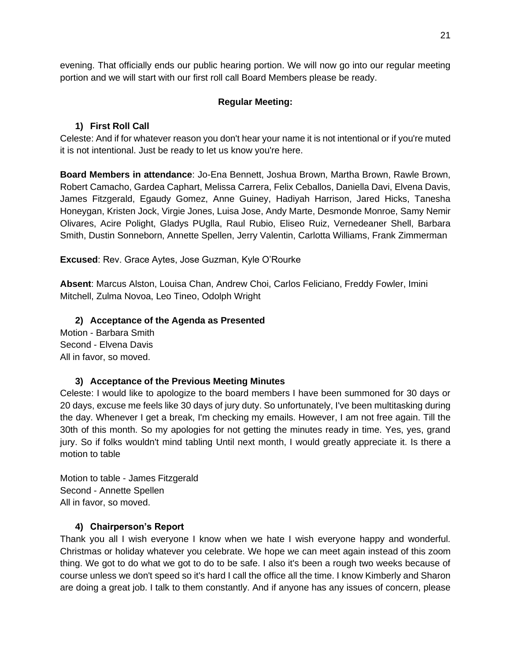evening. That officially ends our public hearing portion. We will now go into our regular meeting portion and we will start with our first roll call Board Members please be ready.

### **Regular Meeting:**

## **1) First Roll Call**

Celeste: And if for whatever reason you don't hear your name it is not intentional or if you're muted it is not intentional. Just be ready to let us know you're here.

**Board Members in attendance**: Jo-Ena Bennett, Joshua Brown, Martha Brown, Rawle Brown, Robert Camacho, Gardea Caphart, Melissa Carrera, Felix Ceballos, Daniella Davi, Elvena Davis, James Fitzgerald, Egaudy Gomez, Anne Guiney, Hadiyah Harrison, Jared Hicks, Tanesha Honeygan, Kristen Jock, Virgie Jones, Luisa Jose, Andy Marte, Desmonde Monroe, Samy Nemir Olivares, Acire Polight, Gladys PUglla, Raul Rubio, Eliseo Ruiz, Vernedeaner Shell, Barbara Smith, Dustin Sonneborn, Annette Spellen, Jerry Valentin, Carlotta Williams, Frank Zimmerman

**Excused**: Rev. Grace Aytes, Jose Guzman, Kyle O'Rourke

**Absent**: Marcus Alston, Louisa Chan, Andrew Choi, Carlos Feliciano, Freddy Fowler, Imini Mitchell, Zulma Novoa, Leo Tineo, Odolph Wright

**2) Acceptance of the Agenda as Presented** Motion - Barbara Smith Second - Elvena Davis All in favor, so moved.

# **3) Acceptance of the Previous Meeting Minutes**

Celeste: I would like to apologize to the board members I have been summoned for 30 days or 20 days, excuse me feels like 30 days of jury duty. So unfortunately, I've been multitasking during the day. Whenever I get a break, I'm checking my emails. However, I am not free again. Till the 30th of this month. So my apologies for not getting the minutes ready in time. Yes, yes, grand jury. So if folks wouldn't mind tabling Until next month, I would greatly appreciate it. Is there a motion to table

Motion to table - James Fitzgerald Second - Annette Spellen All in favor, so moved.

### **4) Chairperson's Report**

Thank you all I wish everyone I know when we hate I wish everyone happy and wonderful. Christmas or holiday whatever you celebrate. We hope we can meet again instead of this zoom thing. We got to do what we got to do to be safe. I also it's been a rough two weeks because of course unless we don't speed so it's hard I call the office all the time. I know Kimberly and Sharon are doing a great job. I talk to them constantly. And if anyone has any issues of concern, please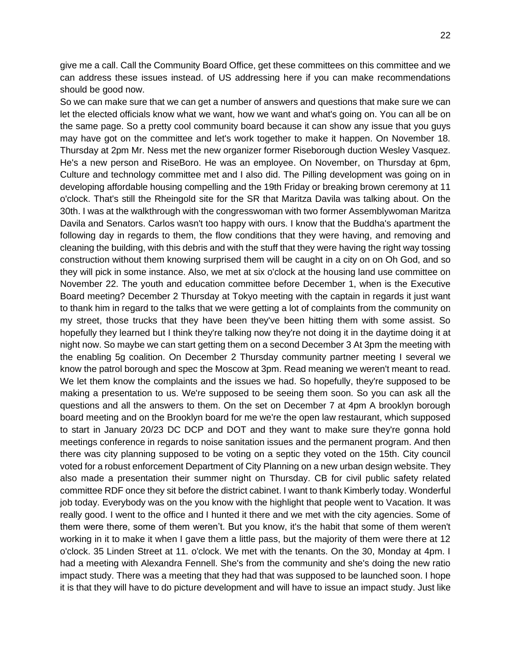give me a call. Call the Community Board Office, get these committees on this committee and we can address these issues instead. of US addressing here if you can make recommendations should be good now.

So we can make sure that we can get a number of answers and questions that make sure we can let the elected officials know what we want, how we want and what's going on. You can all be on the same page. So a pretty cool community board because it can show any issue that you guys may have got on the committee and let's work together to make it happen. On November 18. Thursday at 2pm Mr. Ness met the new organizer former Riseborough duction Wesley Vasquez. He's a new person and RiseBoro. He was an employee. On November, on Thursday at 6pm, Culture and technology committee met and I also did. The Pilling development was going on in developing affordable housing compelling and the 19th Friday or breaking brown ceremony at 11 o'clock. That's still the Rheingold site for the SR that Maritza Davila was talking about. On the 30th. I was at the walkthrough with the congresswoman with two former Assemblywoman Maritza Davila and Senators. Carlos wasn't too happy with ours. I know that the Buddha's apartment the following day in regards to them, the flow conditions that they were having, and removing and cleaning the building, with this debris and with the stuff that they were having the right way tossing construction without them knowing surprised them will be caught in a city on on Oh God, and so they will pick in some instance. Also, we met at six o'clock at the housing land use committee on November 22. The youth and education committee before December 1, when is the Executive Board meeting? December 2 Thursday at Tokyo meeting with the captain in regards it just want to thank him in regard to the talks that we were getting a lot of complaints from the community on my street, those trucks that they have been they've been hitting them with some assist. So hopefully they learned but I think they're talking now they're not doing it in the daytime doing it at night now. So maybe we can start getting them on a second December 3 At 3pm the meeting with the enabling 5g coalition. On December 2 Thursday community partner meeting I several we know the patrol borough and spec the Moscow at 3pm. Read meaning we weren't meant to read. We let them know the complaints and the issues we had. So hopefully, they're supposed to be making a presentation to us. We're supposed to be seeing them soon. So you can ask all the questions and all the answers to them. On the set on December 7 at 4pm A brooklyn borough board meeting and on the Brooklyn board for me we're the open law restaurant, which supposed to start in January 20/23 DC DCP and DOT and they want to make sure they're gonna hold meetings conference in regards to noise sanitation issues and the permanent program. And then there was city planning supposed to be voting on a septic they voted on the 15th. City council voted for a robust enforcement Department of City Planning on a new urban design website. They also made a presentation their summer night on Thursday. CB for civil public safety related committee RDF once they sit before the district cabinet. I want to thank Kimberly today. Wonderful job today. Everybody was on the you know with the highlight that people went to Vacation. It was really good. I went to the office and I hunted it there and we met with the city agencies. Some of them were there, some of them weren't. But you know, it's the habit that some of them weren't working in it to make it when I gave them a little pass, but the majority of them were there at 12 o'clock. 35 Linden Street at 11. o'clock. We met with the tenants. On the 30, Monday at 4pm. I had a meeting with Alexandra Fennell. She's from the community and she's doing the new ratio impact study. There was a meeting that they had that was supposed to be launched soon. I hope it is that they will have to do picture development and will have to issue an impact study. Just like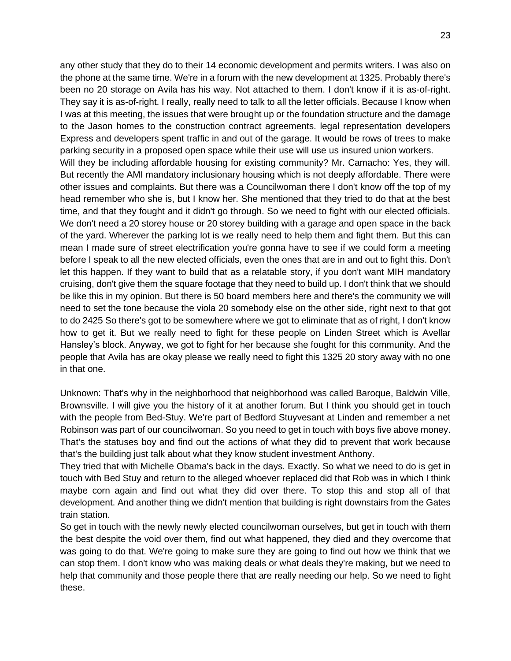any other study that they do to their 14 economic development and permits writers. I was also on the phone at the same time. We're in a forum with the new development at 1325. Probably there's been no 20 storage on Avila has his way. Not attached to them. I don't know if it is as-of-right. They say it is as-of-right. I really, really need to talk to all the letter officials. Because I know when I was at this meeting, the issues that were brought up or the foundation structure and the damage to the Jason homes to the construction contract agreements. legal representation developers Express and developers spent traffic in and out of the garage. It would be rows of trees to make parking security in a proposed open space while their use will use us insured union workers. Will they be including affordable housing for existing community? Mr. Camacho: Yes, they will. But recently the AMI mandatory inclusionary housing which is not deeply affordable. There were other issues and complaints. But there was a Councilwoman there I don't know off the top of my head remember who she is, but I know her. She mentioned that they tried to do that at the best time, and that they fought and it didn't go through. So we need to fight with our elected officials. We don't need a 20 storey house or 20 storey building with a garage and open space in the back of the yard. Wherever the parking lot is we really need to help them and fight them. But this can

mean I made sure of street electrification you're gonna have to see if we could form a meeting before I speak to all the new elected officials, even the ones that are in and out to fight this. Don't let this happen. If they want to build that as a relatable story, if you don't want MIH mandatory cruising, don't give them the square footage that they need to build up. I don't think that we should be like this in my opinion. But there is 50 board members here and there's the community we will need to set the tone because the viola 20 somebody else on the other side, right next to that got to do 2425 So there's got to be somewhere where we got to eliminate that as of right, I don't know how to get it. But we really need to fight for these people on Linden Street which is Avellar Hansley's block. Anyway, we got to fight for her because she fought for this community. And the people that Avila has are okay please we really need to fight this 1325 20 story away with no one in that one.

Unknown: That's why in the neighborhood that neighborhood was called Baroque, Baldwin Ville, Brownsville. I will give you the history of it at another forum. But I think you should get in touch with the people from Bed-Stuy. We're part of Bedford Stuyvesant at Linden and remember a net Robinson was part of our councilwoman. So you need to get in touch with boys five above money. That's the statuses boy and find out the actions of what they did to prevent that work because that's the building just talk about what they know student investment Anthony.

They tried that with Michelle Obama's back in the days. Exactly. So what we need to do is get in touch with Bed Stuy and return to the alleged whoever replaced did that Rob was in which I think maybe corn again and find out what they did over there. To stop this and stop all of that development. And another thing we didn't mention that building is right downstairs from the Gates train station.

So get in touch with the newly newly elected councilwoman ourselves, but get in touch with them the best despite the void over them, find out what happened, they died and they overcome that was going to do that. We're going to make sure they are going to find out how we think that we can stop them. I don't know who was making deals or what deals they're making, but we need to help that community and those people there that are really needing our help. So we need to fight these.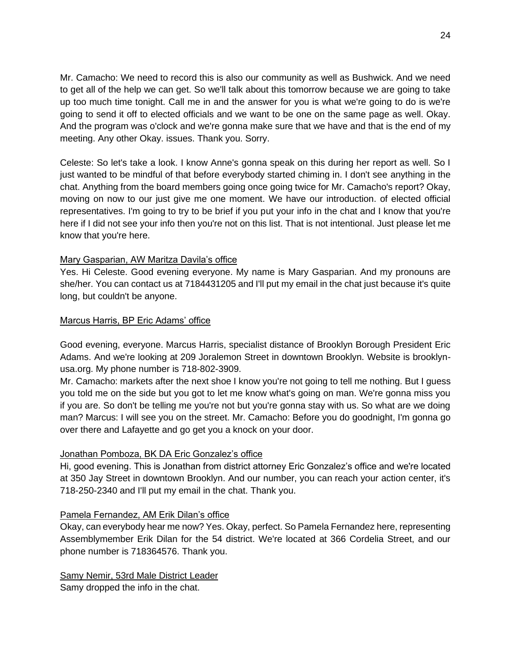Mr. Camacho: We need to record this is also our community as well as Bushwick. And we need to get all of the help we can get. So we'll talk about this tomorrow because we are going to take up too much time tonight. Call me in and the answer for you is what we're going to do is we're going to send it off to elected officials and we want to be one on the same page as well. Okay. And the program was o'clock and we're gonna make sure that we have and that is the end of my meeting. Any other Okay. issues. Thank you. Sorry.

Celeste: So let's take a look. I know Anne's gonna speak on this during her report as well. So I just wanted to be mindful of that before everybody started chiming in. I don't see anything in the chat. Anything from the board members going once going twice for Mr. Camacho's report? Okay, moving on now to our just give me one moment. We have our introduction. of elected official representatives. I'm going to try to be brief if you put your info in the chat and I know that you're here if I did not see your info then you're not on this list. That is not intentional. Just please let me know that you're here.

## Mary Gasparian, AW Maritza Davila's office

Yes. Hi Celeste. Good evening everyone. My name is Mary Gasparian. And my pronouns are she/her. You can contact us at 7184431205 and I'll put my email in the chat just because it's quite long, but couldn't be anyone.

## Marcus Harris, BP Eric Adams' office

Good evening, everyone. Marcus Harris, specialist distance of Brooklyn Borough President Eric Adams. And we're looking at 209 Joralemon Street in downtown Brooklyn. Website is brooklynusa.org. My phone number is 718-802-3909.

Mr. Camacho: markets after the next shoe I know you're not going to tell me nothing. But I guess you told me on the side but you got to let me know what's going on man. We're gonna miss you if you are. So don't be telling me you're not but you're gonna stay with us. So what are we doing man? Marcus: I will see you on the street. Mr. Camacho: Before you do goodnight, I'm gonna go over there and Lafayette and go get you a knock on your door.

# Jonathan Pomboza, BK DA Eric Gonzalez's office

Hi, good evening. This is Jonathan from district attorney Eric Gonzalez's office and we're located at 350 Jay Street in downtown Brooklyn. And our number, you can reach your action center, it's 718-250-2340 and I'll put my email in the chat. Thank you.

# Pamela Fernandez, AM Erik Dilan's office

Okay, can everybody hear me now? Yes. Okay, perfect. So Pamela Fernandez here, representing Assemblymember Erik Dilan for the 54 district. We're located at 366 Cordelia Street, and our phone number is 718364576. Thank you.

Samy Nemir, 53rd Male District Leader Samy dropped the info in the chat.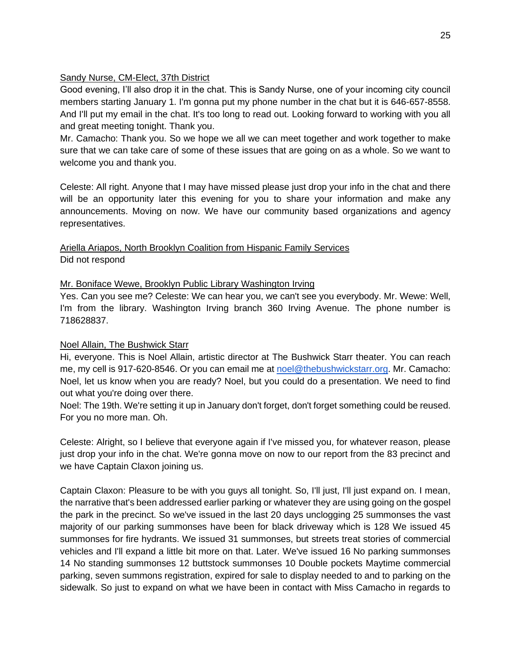### Sandy Nurse, CM-Elect, 37th District

Good evening, I'll also drop it in the chat. This is Sandy Nurse, one of your incoming city council members starting January 1. I'm gonna put my phone number in the chat but it is 646-657-8558. And I'll put my email in the chat. It's too long to read out. Looking forward to working with you all and great meeting tonight. Thank you.

Mr. Camacho: Thank you. So we hope we all we can meet together and work together to make sure that we can take care of some of these issues that are going on as a whole. So we want to welcome you and thank you.

Celeste: All right. Anyone that I may have missed please just drop your info in the chat and there will be an opportunity later this evening for you to share your information and make any announcements. Moving on now. We have our community based organizations and agency representatives.

Ariella Ariapos, North Brooklyn Coalition from Hispanic Family Services Did not respond

# Mr. Boniface Wewe, Brooklyn Public Library Washington Irving

Yes. Can you see me? Celeste: We can hear you, we can't see you everybody. Mr. Wewe: Well, I'm from the library. Washington Irving branch 360 Irving Avenue. The phone number is 718628837.

# Noel Allain, The Bushwick Starr

Hi, everyone. This is Noel Allain, artistic director at The Bushwick Starr theater. You can reach me, my cell is 917-620-8546. Or you can email me at [noel@thebushwickstarr.org.](mailto:noel@thebushwickstarr.org) Mr. Camacho: Noel, let us know when you are ready? Noel, but you could do a presentation. We need to find out what you're doing over there.

Noel: The 19th. We're setting it up in January don't forget, don't forget something could be reused. For you no more man. Oh.

Celeste: Alright, so I believe that everyone again if I've missed you, for whatever reason, please just drop your info in the chat. We're gonna move on now to our report from the 83 precinct and we have Captain Claxon joining us.

Captain Claxon: Pleasure to be with you guys all tonight. So, I'll just, I'll just expand on. I mean, the narrative that's been addressed earlier parking or whatever they are using going on the gospel the park in the precinct. So we've issued in the last 20 days unclogging 25 summonses the vast majority of our parking summonses have been for black driveway which is 128 We issued 45 summonses for fire hydrants. We issued 31 summonses, but streets treat stories of commercial vehicles and I'll expand a little bit more on that. Later. We've issued 16 No parking summonses 14 No standing summonses 12 buttstock summonses 10 Double pockets Maytime commercial parking, seven summons registration, expired for sale to display needed to and to parking on the sidewalk. So just to expand on what we have been in contact with Miss Camacho in regards to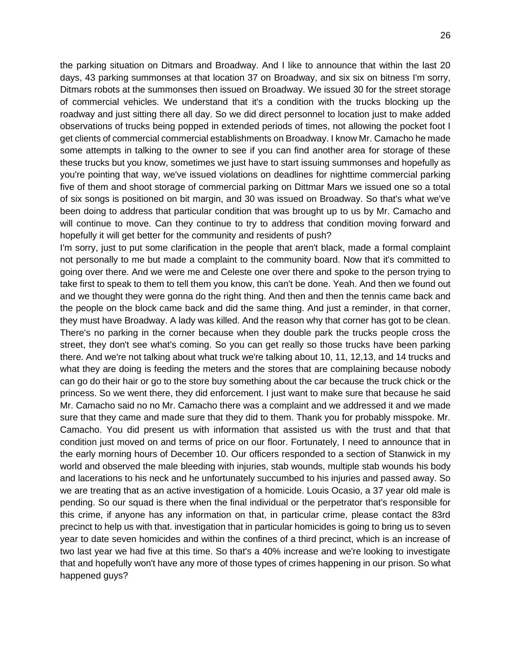the parking situation on Ditmars and Broadway. And I like to announce that within the last 20 days, 43 parking summonses at that location 37 on Broadway, and six six on bitness I'm sorry, Ditmars robots at the summonses then issued on Broadway. We issued 30 for the street storage of commercial vehicles. We understand that it's a condition with the trucks blocking up the roadway and just sitting there all day. So we did direct personnel to location just to make added observations of trucks being popped in extended periods of times, not allowing the pocket foot I get clients of commercial commercial establishments on Broadway. I know Mr. Camacho he made some attempts in talking to the owner to see if you can find another area for storage of these these trucks but you know, sometimes we just have to start issuing summonses and hopefully as you're pointing that way, we've issued violations on deadlines for nighttime commercial parking five of them and shoot storage of commercial parking on Dittmar Mars we issued one so a total of six songs is positioned on bit margin, and 30 was issued on Broadway. So that's what we've been doing to address that particular condition that was brought up to us by Mr. Camacho and will continue to move. Can they continue to try to address that condition moving forward and hopefully it will get better for the community and residents of push?

I'm sorry, just to put some clarification in the people that aren't black, made a formal complaint not personally to me but made a complaint to the community board. Now that it's committed to going over there. And we were me and Celeste one over there and spoke to the person trying to take first to speak to them to tell them you know, this can't be done. Yeah. And then we found out and we thought they were gonna do the right thing. And then and then the tennis came back and the people on the block came back and did the same thing. And just a reminder, in that corner, they must have Broadway. A lady was killed. And the reason why that corner has got to be clean. There's no parking in the corner because when they double park the trucks people cross the street, they don't see what's coming. So you can get really so those trucks have been parking there. And we're not talking about what truck we're talking about 10, 11, 12,13, and 14 trucks and what they are doing is feeding the meters and the stores that are complaining because nobody can go do their hair or go to the store buy something about the car because the truck chick or the princess. So we went there, they did enforcement. I just want to make sure that because he said Mr. Camacho said no no Mr. Camacho there was a complaint and we addressed it and we made sure that they came and made sure that they did to them. Thank you for probably misspoke. Mr. Camacho. You did present us with information that assisted us with the trust and that that condition just moved on and terms of price on our floor. Fortunately, I need to announce that in the early morning hours of December 10. Our officers responded to a section of Stanwick in my world and observed the male bleeding with injuries, stab wounds, multiple stab wounds his body and lacerations to his neck and he unfortunately succumbed to his injuries and passed away. So we are treating that as an active investigation of a homicide. Louis Ocasio, a 37 year old male is pending. So our squad is there when the final individual or the perpetrator that's responsible for this crime, if anyone has any information on that, in particular crime, please contact the 83rd precinct to help us with that. investigation that in particular homicides is going to bring us to seven year to date seven homicides and within the confines of a third precinct, which is an increase of two last year we had five at this time. So that's a 40% increase and we're looking to investigate that and hopefully won't have any more of those types of crimes happening in our prison. So what happened guys?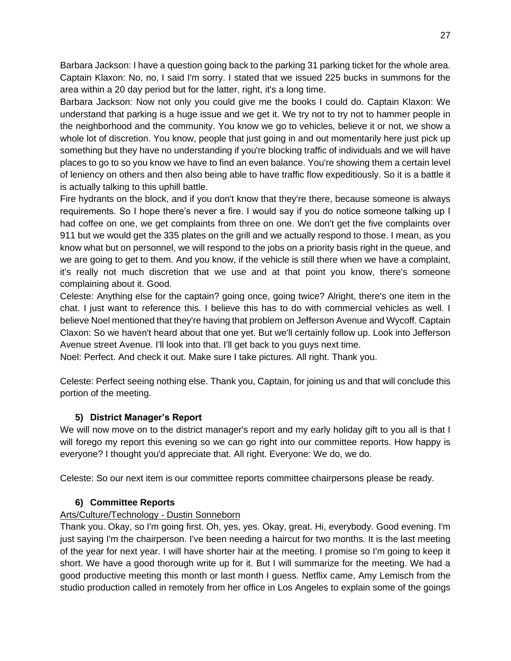Barbara Jackson: I have a question going back to the parking 31 parking ticket for the whole area. Captain Klaxon: No, no, I said I'm sorry. I stated that we issued 225 bucks in summons for the area within a 20 day period but for the latter, right, it's a long time.

Barbara Jackson: Now not only you could give me the books I could do. Captain Klaxon: We understand that parking is a huge issue and we get it. We try not to try not to hammer people in the neighborhood and the community. You know we go to vehicles, believe it or not, we show a whole lot of discretion. You know, people that just going in and out momentarily here just pick up something but they have no understanding if you're blocking traffic of individuals and we will have places to go to so you know we have to find an even balance. You're showing them a certain level of leniency on others and then also being able to have traffic flow expeditiously. So it is a battle it is actually talking to this uphill battle.

Fire hydrants on the block, and if you don't know that they're there, because someone is always requirements. So I hope there's never a fire. I would say if you do notice someone talking up I had coffee on one, we get complaints from three on one. We don't get the five complaints over 911 but we would get the 335 plates on the grill and we actually respond to those. I mean, as you know what but on personnel, we will respond to the jobs on a priority basis right in the queue, and we are going to get to them. And you know, if the vehicle is still there when we have a complaint, it's really not much discretion that we use and at that point you know, there's someone complaining about it. Good.

Celeste: Anything else for the captain? going once, going twice? Alright, there's one item in the chat. I just want to reference this. I believe this has to do with commercial vehicles as well. I believe Noel mentioned that they're having that problem on Jefferson Avenue and Wycoff. Captain Claxon: So we haven't heard about that one yet. But we'll certainly follow up. Look into Jefferson Avenue street Avenue. I'll look into that. I'll get back to you guys next time.

Noel: Perfect. And check it out. Make sure I take pictures. All right. Thank you.

Celeste: Perfect seeing nothing else. Thank you, Captain, for joining us and that will conclude this portion of the meeting.

# **5) District Manager's Report**

We will now move on to the district manager's report and my early holiday gift to you all is that I will forego my report this evening so we can go right into our committee reports. How happy is everyone? I thought you'd appreciate that. All right. Everyone: We do, we do.

Celeste: So our next item is our committee reports committee chairpersons please be ready.

# **6) Committee Reports**

# Arts/Culture/Technology - Dustin Sonneborn

Thank you. Okay, so I'm going first. Oh, yes, yes. Okay, great. Hi, everybody. Good evening. I'm just saying I'm the chairperson. I've been needing a haircut for two months. It is the last meeting of the year for next year. I will have shorter hair at the meeting. I promise so I'm going to keep it short. We have a good thorough write up for it. But I will summarize for the meeting. We had a good productive meeting this month or last month I guess. Netflix came, Amy Lemisch from the studio production called in remotely from her office in Los Angeles to explain some of the goings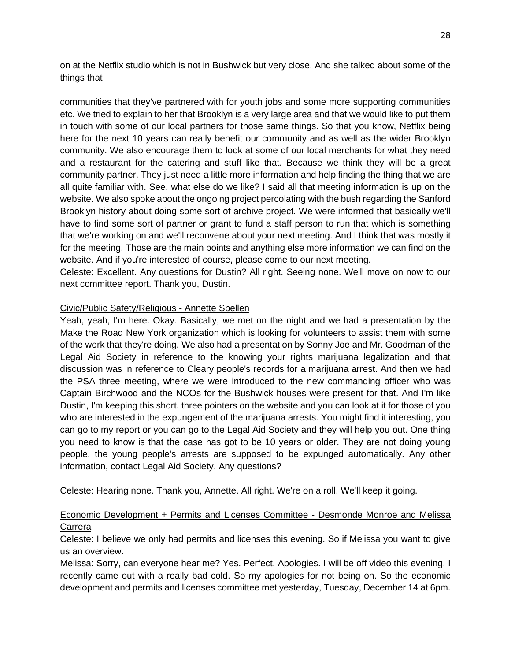on at the Netflix studio which is not in Bushwick but very close. And she talked about some of the things that

communities that they've partnered with for youth jobs and some more supporting communities etc. We tried to explain to her that Brooklyn is a very large area and that we would like to put them in touch with some of our local partners for those same things. So that you know, Netflix being here for the next 10 years can really benefit our community and as well as the wider Brooklyn community. We also encourage them to look at some of our local merchants for what they need and a restaurant for the catering and stuff like that. Because we think they will be a great community partner. They just need a little more information and help finding the thing that we are all quite familiar with. See, what else do we like? I said all that meeting information is up on the website. We also spoke about the ongoing project percolating with the bush regarding the Sanford Brooklyn history about doing some sort of archive project. We were informed that basically we'll have to find some sort of partner or grant to fund a staff person to run that which is something that we're working on and we'll reconvene about your next meeting. And I think that was mostly it for the meeting. Those are the main points and anything else more information we can find on the website. And if you're interested of course, please come to our next meeting.

Celeste: Excellent. Any questions for Dustin? All right. Seeing none. We'll move on now to our next committee report. Thank you, Dustin.

### Civic/Public Safety/Religious - Annette Spellen

Yeah, yeah, I'm here. Okay. Basically, we met on the night and we had a presentation by the Make the Road New York organization which is looking for volunteers to assist them with some of the work that they're doing. We also had a presentation by Sonny Joe and Mr. Goodman of the Legal Aid Society in reference to the knowing your rights marijuana legalization and that discussion was in reference to Cleary people's records for a marijuana arrest. And then we had the PSA three meeting, where we were introduced to the new commanding officer who was Captain Birchwood and the NCOs for the Bushwick houses were present for that. And I'm like Dustin, I'm keeping this short. three pointers on the website and you can look at it for those of you who are interested in the expungement of the marijuana arrests. You might find it interesting, you can go to my report or you can go to the Legal Aid Society and they will help you out. One thing you need to know is that the case has got to be 10 years or older. They are not doing young people, the young people's arrests are supposed to be expunged automatically. Any other information, contact Legal Aid Society. Any questions?

Celeste: Hearing none. Thank you, Annette. All right. We're on a roll. We'll keep it going.

# Economic Development + Permits and Licenses Committee - Desmonde Monroe and Melissa Carrera

Celeste: I believe we only had permits and licenses this evening. So if Melissa you want to give us an overview.

Melissa: Sorry, can everyone hear me? Yes. Perfect. Apologies. I will be off video this evening. I recently came out with a really bad cold. So my apologies for not being on. So the economic development and permits and licenses committee met yesterday, Tuesday, December 14 at 6pm.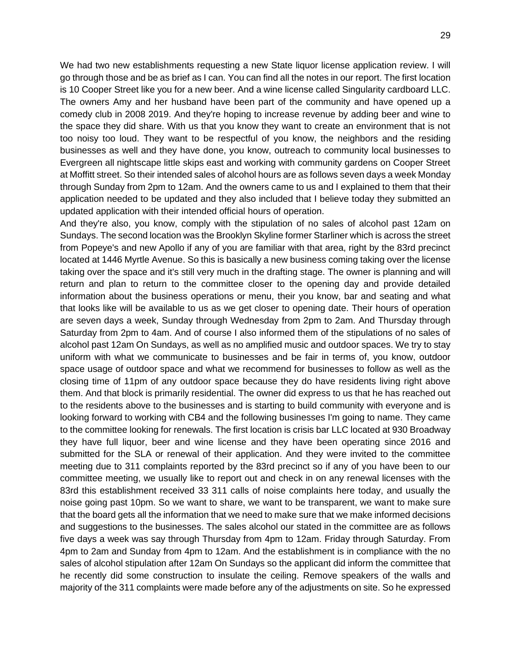We had two new establishments requesting a new State liquor license application review. I will go through those and be as brief as I can. You can find all the notes in our report. The first location is 10 Cooper Street like you for a new beer. And a wine license called Singularity cardboard LLC. The owners Amy and her husband have been part of the community and have opened up a comedy club in 2008 2019. And they're hoping to increase revenue by adding beer and wine to the space they did share. With us that you know they want to create an environment that is not too noisy too loud. They want to be respectful of you know, the neighbors and the residing businesses as well and they have done, you know, outreach to community local businesses to Evergreen all nightscape little skips east and working with community gardens on Cooper Street at Moffitt street. So their intended sales of alcohol hours are as follows seven days a week Monday through Sunday from 2pm to 12am. And the owners came to us and I explained to them that their application needed to be updated and they also included that I believe today they submitted an updated application with their intended official hours of operation.

And they're also, you know, comply with the stipulation of no sales of alcohol past 12am on Sundays. The second location was the Brooklyn Skyline former Starliner which is across the street from Popeye's and new Apollo if any of you are familiar with that area, right by the 83rd precinct located at 1446 Myrtle Avenue. So this is basically a new business coming taking over the license taking over the space and it's still very much in the drafting stage. The owner is planning and will return and plan to return to the committee closer to the opening day and provide detailed information about the business operations or menu, their you know, bar and seating and what that looks like will be available to us as we get closer to opening date. Their hours of operation are seven days a week, Sunday through Wednesday from 2pm to 2am. And Thursday through Saturday from 2pm to 4am. And of course I also informed them of the stipulations of no sales of alcohol past 12am On Sundays, as well as no amplified music and outdoor spaces. We try to stay uniform with what we communicate to businesses and be fair in terms of, you know, outdoor space usage of outdoor space and what we recommend for businesses to follow as well as the closing time of 11pm of any outdoor space because they do have residents living right above them. And that block is primarily residential. The owner did express to us that he has reached out to the residents above to the businesses and is starting to build community with everyone and is looking forward to working with CB4 and the following businesses I'm going to name. They came to the committee looking for renewals. The first location is crisis bar LLC located at 930 Broadway they have full liquor, beer and wine license and they have been operating since 2016 and submitted for the SLA or renewal of their application. And they were invited to the committee meeting due to 311 complaints reported by the 83rd precinct so if any of you have been to our committee meeting, we usually like to report out and check in on any renewal licenses with the 83rd this establishment received 33 311 calls of noise complaints here today, and usually the noise going past 10pm. So we want to share, we want to be transparent, we want to make sure that the board gets all the information that we need to make sure that we make informed decisions and suggestions to the businesses. The sales alcohol our stated in the committee are as follows five days a week was say through Thursday from 4pm to 12am. Friday through Saturday. From 4pm to 2am and Sunday from 4pm to 12am. And the establishment is in compliance with the no sales of alcohol stipulation after 12am On Sundays so the applicant did inform the committee that he recently did some construction to insulate the ceiling. Remove speakers of the walls and majority of the 311 complaints were made before any of the adjustments on site. So he expressed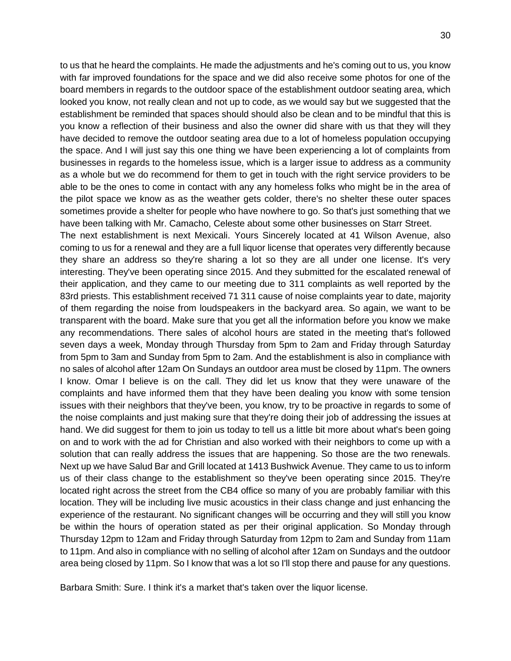to us that he heard the complaints. He made the adjustments and he's coming out to us, you know with far improved foundations for the space and we did also receive some photos for one of the board members in regards to the outdoor space of the establishment outdoor seating area, which looked you know, not really clean and not up to code, as we would say but we suggested that the establishment be reminded that spaces should should also be clean and to be mindful that this is you know a reflection of their business and also the owner did share with us that they will they have decided to remove the outdoor seating area due to a lot of homeless population occupying the space. And I will just say this one thing we have been experiencing a lot of complaints from businesses in regards to the homeless issue, which is a larger issue to address as a community as a whole but we do recommend for them to get in touch with the right service providers to be able to be the ones to come in contact with any any homeless folks who might be in the area of the pilot space we know as as the weather gets colder, there's no shelter these outer spaces sometimes provide a shelter for people who have nowhere to go. So that's just something that we have been talking with Mr. Camacho, Celeste about some other businesses on Starr Street.

The next establishment is next Mexicali. Yours Sincerely located at 41 Wilson Avenue, also coming to us for a renewal and they are a full liquor license that operates very differently because they share an address so they're sharing a lot so they are all under one license. It's very interesting. They've been operating since 2015. And they submitted for the escalated renewal of their application, and they came to our meeting due to 311 complaints as well reported by the 83rd priests. This establishment received 71 311 cause of noise complaints year to date, majority of them regarding the noise from loudspeakers in the backyard area. So again, we want to be transparent with the board. Make sure that you get all the information before you know we make any recommendations. There sales of alcohol hours are stated in the meeting that's followed seven days a week, Monday through Thursday from 5pm to 2am and Friday through Saturday from 5pm to 3am and Sunday from 5pm to 2am. And the establishment is also in compliance with no sales of alcohol after 12am On Sundays an outdoor area must be closed by 11pm. The owners I know. Omar I believe is on the call. They did let us know that they were unaware of the complaints and have informed them that they have been dealing you know with some tension issues with their neighbors that they've been, you know, try to be proactive in regards to some of the noise complaints and just making sure that they're doing their job of addressing the issues at hand. We did suggest for them to join us today to tell us a little bit more about what's been going on and to work with the ad for Christian and also worked with their neighbors to come up with a solution that can really address the issues that are happening. So those are the two renewals. Next up we have Salud Bar and Grill located at 1413 Bushwick Avenue. They came to us to inform us of their class change to the establishment so they've been operating since 2015. They're located right across the street from the CB4 office so many of you are probably familiar with this location. They will be including live music acoustics in their class change and just enhancing the experience of the restaurant. No significant changes will be occurring and they will still you know be within the hours of operation stated as per their original application. So Monday through Thursday 12pm to 12am and Friday through Saturday from 12pm to 2am and Sunday from 11am to 11pm. And also in compliance with no selling of alcohol after 12am on Sundays and the outdoor area being closed by 11pm. So I know that was a lot so I'll stop there and pause for any questions.

Barbara Smith: Sure. I think it's a market that's taken over the liquor license.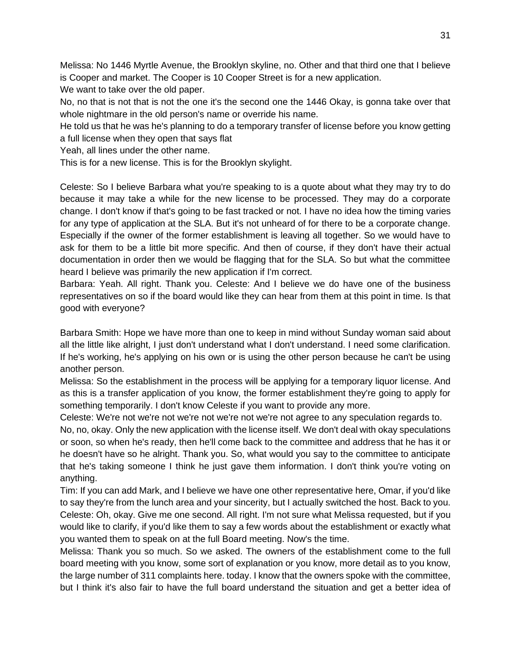Melissa: No 1446 Myrtle Avenue, the Brooklyn skyline, no. Other and that third one that I believe is Cooper and market. The Cooper is 10 Cooper Street is for a new application.

We want to take over the old paper.

No, no that is not that is not the one it's the second one the 1446 Okay, is gonna take over that whole nightmare in the old person's name or override his name.

He told us that he was he's planning to do a temporary transfer of license before you know getting a full license when they open that says flat

Yeah, all lines under the other name.

This is for a new license. This is for the Brooklyn skylight.

Celeste: So I believe Barbara what you're speaking to is a quote about what they may try to do because it may take a while for the new license to be processed. They may do a corporate change. I don't know if that's going to be fast tracked or not. I have no idea how the timing varies for any type of application at the SLA. But it's not unheard of for there to be a corporate change. Especially if the owner of the former establishment is leaving all together. So we would have to ask for them to be a little bit more specific. And then of course, if they don't have their actual documentation in order then we would be flagging that for the SLA. So but what the committee heard I believe was primarily the new application if I'm correct.

Barbara: Yeah. All right. Thank you. Celeste: And I believe we do have one of the business representatives on so if the board would like they can hear from them at this point in time. Is that good with everyone?

Barbara Smith: Hope we have more than one to keep in mind without Sunday woman said about all the little like alright, I just don't understand what I don't understand. I need some clarification. If he's working, he's applying on his own or is using the other person because he can't be using another person.

Melissa: So the establishment in the process will be applying for a temporary liquor license. And as this is a transfer application of you know, the former establishment they're going to apply for something temporarily. I don't know Celeste if you want to provide any more.

Celeste: We're not we're not we're not we're not we're not agree to any speculation regards to.

No, no, okay. Only the new application with the license itself. We don't deal with okay speculations or soon, so when he's ready, then he'll come back to the committee and address that he has it or he doesn't have so he alright. Thank you. So, what would you say to the committee to anticipate that he's taking someone I think he just gave them information. I don't think you're voting on anything.

Tim: If you can add Mark, and I believe we have one other representative here, Omar, if you'd like to say they're from the lunch area and your sincerity, but I actually switched the host. Back to you. Celeste: Oh, okay. Give me one second. All right. I'm not sure what Melissa requested, but if you would like to clarify, if you'd like them to say a few words about the establishment or exactly what you wanted them to speak on at the full Board meeting. Now's the time.

Melissa: Thank you so much. So we asked. The owners of the establishment come to the full board meeting with you know, some sort of explanation or you know, more detail as to you know, the large number of 311 complaints here. today. I know that the owners spoke with the committee, but I think it's also fair to have the full board understand the situation and get a better idea of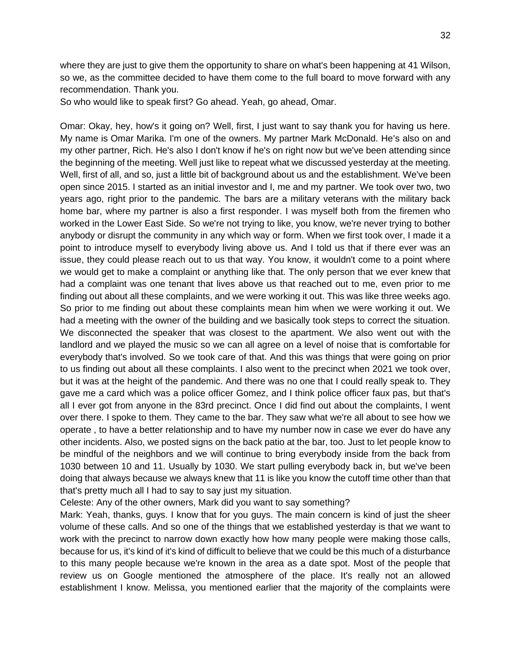32

where they are just to give them the opportunity to share on what's been happening at 41 Wilson, so we, as the committee decided to have them come to the full board to move forward with any recommendation. Thank you.

So who would like to speak first? Go ahead. Yeah, go ahead, Omar.

Omar: Okay, hey, how's it going on? Well, first, I just want to say thank you for having us here. My name is Omar Marika. I'm one of the owners. My partner Mark McDonald. He's also on and my other partner, Rich. He's also I don't know if he's on right now but we've been attending since the beginning of the meeting. Well just like to repeat what we discussed yesterday at the meeting. Well, first of all, and so, just a little bit of background about us and the establishment. We've been open since 2015. I started as an initial investor and I, me and my partner. We took over two, two years ago, right prior to the pandemic. The bars are a military veterans with the military back home bar, where my partner is also a first responder. I was myself both from the firemen who worked in the Lower East Side. So we're not trying to like, you know, we're never trying to bother anybody or disrupt the community in any which way or form. When we first took over, I made it a point to introduce myself to everybody living above us. And I told us that if there ever was an issue, they could please reach out to us that way. You know, it wouldn't come to a point where we would get to make a complaint or anything like that. The only person that we ever knew that had a complaint was one tenant that lives above us that reached out to me, even prior to me finding out about all these complaints, and we were working it out. This was like three weeks ago. So prior to me finding out about these complaints mean him when we were working it out. We had a meeting with the owner of the building and we basically took steps to correct the situation. We disconnected the speaker that was closest to the apartment. We also went out with the landlord and we played the music so we can all agree on a level of noise that is comfortable for everybody that's involved. So we took care of that. And this was things that were going on prior to us finding out about all these complaints. I also went to the precinct when 2021 we took over, but it was at the height of the pandemic. And there was no one that I could really speak to. They gave me a card which was a police officer Gomez, and I think police officer faux pas, but that's all I ever got from anyone in the 83rd precinct. Once I did find out about the complaints, I went over there. I spoke to them. They came to the bar. They saw what we're all about to see how we operate , to have a better relationship and to have my number now in case we ever do have any other incidents. Also, we posted signs on the back patio at the bar, too. Just to let people know to be mindful of the neighbors and we will continue to bring everybody inside from the back from 1030 between 10 and 11. Usually by 1030. We start pulling everybody back in, but we've been doing that always because we always knew that 11 is like you know the cutoff time other than that that's pretty much all I had to say to say just my situation.

Celeste: Any of the other owners, Mark did you want to say something?

Mark: Yeah, thanks, guys. I know that for you guys. The main concern is kind of just the sheer volume of these calls. And so one of the things that we established yesterday is that we want to work with the precinct to narrow down exactly how how many people were making those calls, because for us, it's kind of it's kind of difficult to believe that we could be this much of a disturbance to this many people because we're known in the area as a date spot. Most of the people that review us on Google mentioned the atmosphere of the place. It's really not an allowed establishment I know. Melissa, you mentioned earlier that the majority of the complaints were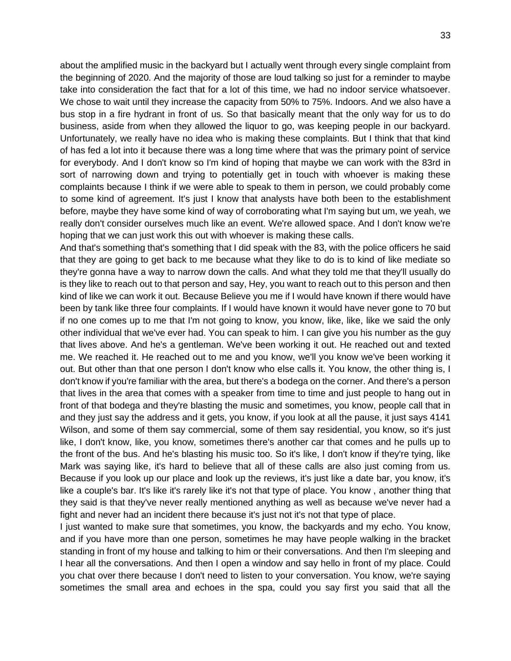about the amplified music in the backyard but I actually went through every single complaint from the beginning of 2020. And the majority of those are loud talking so just for a reminder to maybe take into consideration the fact that for a lot of this time, we had no indoor service whatsoever. We chose to wait until they increase the capacity from 50% to 75%. Indoors. And we also have a bus stop in a fire hydrant in front of us. So that basically meant that the only way for us to do business, aside from when they allowed the liquor to go, was keeping people in our backyard. Unfortunately, we really have no idea who is making these complaints. But I think that that kind of has fed a lot into it because there was a long time where that was the primary point of service for everybody. And I don't know so I'm kind of hoping that maybe we can work with the 83rd in sort of narrowing down and trying to potentially get in touch with whoever is making these complaints because I think if we were able to speak to them in person, we could probably come to some kind of agreement. It's just I know that analysts have both been to the establishment before, maybe they have some kind of way of corroborating what I'm saying but um, we yeah, we really don't consider ourselves much like an event. We're allowed space. And I don't know we're hoping that we can just work this out with whoever is making these calls.

And that's something that's something that I did speak with the 83, with the police officers he said that they are going to get back to me because what they like to do is to kind of like mediate so they're gonna have a way to narrow down the calls. And what they told me that they'll usually do is they like to reach out to that person and say, Hey, you want to reach out to this person and then kind of like we can work it out. Because Believe you me if I would have known if there would have been by tank like three four complaints. If I would have known it would have never gone to 70 but if no one comes up to me that I'm not going to know, you know, like, like, like we said the only other individual that we've ever had. You can speak to him. I can give you his number as the guy that lives above. And he's a gentleman. We've been working it out. He reached out and texted me. We reached it. He reached out to me and you know, we'll you know we've been working it out. But other than that one person I don't know who else calls it. You know, the other thing is, I don't know if you're familiar with the area, but there's a bodega on the corner. And there's a person that lives in the area that comes with a speaker from time to time and just people to hang out in front of that bodega and they're blasting the music and sometimes, you know, people call that in and they just say the address and it gets, you know, if you look at all the pause, it just says 4141 Wilson, and some of them say commercial, some of them say residential, you know, so it's just like, I don't know, like, you know, sometimes there's another car that comes and he pulls up to the front of the bus. And he's blasting his music too. So it's like, I don't know if they're tying, like Mark was saying like, it's hard to believe that all of these calls are also just coming from us. Because if you look up our place and look up the reviews, it's just like a date bar, you know, it's like a couple's bar. It's like it's rarely like it's not that type of place. You know , another thing that they said is that they've never really mentioned anything as well as because we've never had a fight and never had an incident there because it's just not it's not that type of place.

I just wanted to make sure that sometimes, you know, the backyards and my echo. You know, and if you have more than one person, sometimes he may have people walking in the bracket standing in front of my house and talking to him or their conversations. And then I'm sleeping and I hear all the conversations. And then I open a window and say hello in front of my place. Could you chat over there because I don't need to listen to your conversation. You know, we're saying sometimes the small area and echoes in the spa, could you say first you said that all the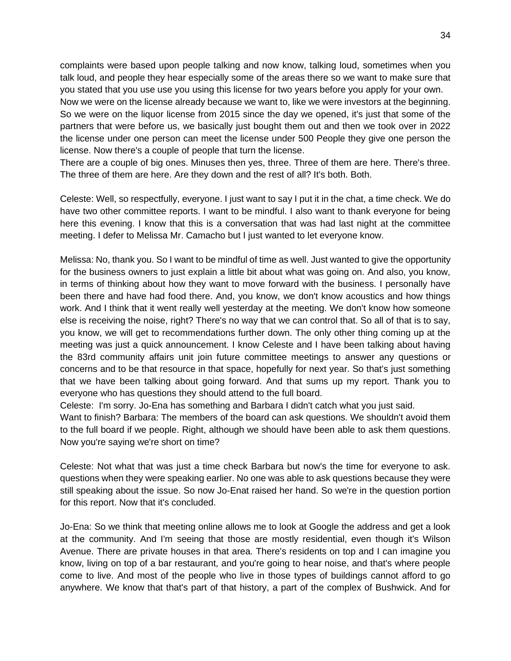complaints were based upon people talking and now know, talking loud, sometimes when you talk loud, and people they hear especially some of the areas there so we want to make sure that you stated that you use use you using this license for two years before you apply for your own.

Now we were on the license already because we want to, like we were investors at the beginning. So we were on the liquor license from 2015 since the day we opened, it's just that some of the partners that were before us, we basically just bought them out and then we took over in 2022 the license under one person can meet the license under 500 People they give one person the license. Now there's a couple of people that turn the license.

There are a couple of big ones. Minuses then yes, three. Three of them are here. There's three. The three of them are here. Are they down and the rest of all? It's both. Both.

Celeste: Well, so respectfully, everyone. I just want to say I put it in the chat, a time check. We do have two other committee reports. I want to be mindful. I also want to thank everyone for being here this evening. I know that this is a conversation that was had last night at the committee meeting. I defer to Melissa Mr. Camacho but I just wanted to let everyone know.

Melissa: No, thank you. So I want to be mindful of time as well. Just wanted to give the opportunity for the business owners to just explain a little bit about what was going on. And also, you know, in terms of thinking about how they want to move forward with the business. I personally have been there and have had food there. And, you know, we don't know acoustics and how things work. And I think that it went really well yesterday at the meeting. We don't know how someone else is receiving the noise, right? There's no way that we can control that. So all of that is to say, you know, we will get to recommendations further down. The only other thing coming up at the meeting was just a quick announcement. I know Celeste and I have been talking about having the 83rd community affairs unit join future committee meetings to answer any questions or concerns and to be that resource in that space, hopefully for next year. So that's just something that we have been talking about going forward. And that sums up my report. Thank you to everyone who has questions they should attend to the full board.

Celeste: I'm sorry. Jo-Ena has something and Barbara I didn't catch what you just said.

Want to finish? Barbara: The members of the board can ask questions. We shouldn't avoid them to the full board if we people. Right, although we should have been able to ask them questions. Now you're saying we're short on time?

Celeste: Not what that was just a time check Barbara but now's the time for everyone to ask. questions when they were speaking earlier. No one was able to ask questions because they were still speaking about the issue. So now Jo-Enat raised her hand. So we're in the question portion for this report. Now that it's concluded.

Jo-Ena: So we think that meeting online allows me to look at Google the address and get a look at the community. And I'm seeing that those are mostly residential, even though it's Wilson Avenue. There are private houses in that area. There's residents on top and I can imagine you know, living on top of a bar restaurant, and you're going to hear noise, and that's where people come to live. And most of the people who live in those types of buildings cannot afford to go anywhere. We know that that's part of that history, a part of the complex of Bushwick. And for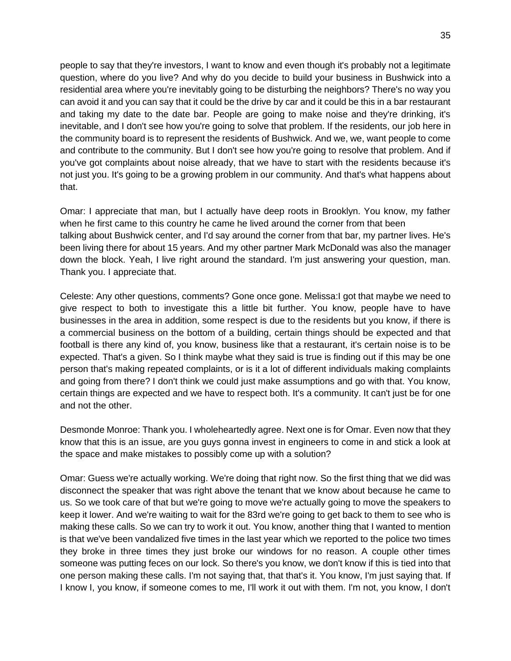people to say that they're investors, I want to know and even though it's probably not a legitimate question, where do you live? And why do you decide to build your business in Bushwick into a residential area where you're inevitably going to be disturbing the neighbors? There's no way you can avoid it and you can say that it could be the drive by car and it could be this in a bar restaurant and taking my date to the date bar. People are going to make noise and they're drinking, it's inevitable, and I don't see how you're going to solve that problem. If the residents, our job here in the community board is to represent the residents of Bushwick. And we, we, want people to come and contribute to the community. But I don't see how you're going to resolve that problem. And if you've got complaints about noise already, that we have to start with the residents because it's not just you. It's going to be a growing problem in our community. And that's what happens about that.

Omar: I appreciate that man, but I actually have deep roots in Brooklyn. You know, my father when he first came to this country he came he lived around the corner from that been talking about Bushwick center, and I'd say around the corner from that bar, my partner lives. He's been living there for about 15 years. And my other partner Mark McDonald was also the manager down the block. Yeah, I live right around the standard. I'm just answering your question, man. Thank you. I appreciate that.

Celeste: Any other questions, comments? Gone once gone. Melissa:I got that maybe we need to give respect to both to investigate this a little bit further. You know, people have to have businesses in the area in addition, some respect is due to the residents but you know, if there is a commercial business on the bottom of a building, certain things should be expected and that football is there any kind of, you know, business like that a restaurant, it's certain noise is to be expected. That's a given. So I think maybe what they said is true is finding out if this may be one person that's making repeated complaints, or is it a lot of different individuals making complaints and going from there? I don't think we could just make assumptions and go with that. You know, certain things are expected and we have to respect both. It's a community. It can't just be for one and not the other.

Desmonde Monroe: Thank you. I wholeheartedly agree. Next one is for Omar. Even now that they know that this is an issue, are you guys gonna invest in engineers to come in and stick a look at the space and make mistakes to possibly come up with a solution?

Omar: Guess we're actually working. We're doing that right now. So the first thing that we did was disconnect the speaker that was right above the tenant that we know about because he came to us. So we took care of that but we're going to move we're actually going to move the speakers to keep it lower. And we're waiting to wait for the 83rd we're going to get back to them to see who is making these calls. So we can try to work it out. You know, another thing that I wanted to mention is that we've been vandalized five times in the last year which we reported to the police two times they broke in three times they just broke our windows for no reason. A couple other times someone was putting feces on our lock. So there's you know, we don't know if this is tied into that one person making these calls. I'm not saying that, that that's it. You know, I'm just saying that. If I know I, you know, if someone comes to me, I'll work it out with them. I'm not, you know, I don't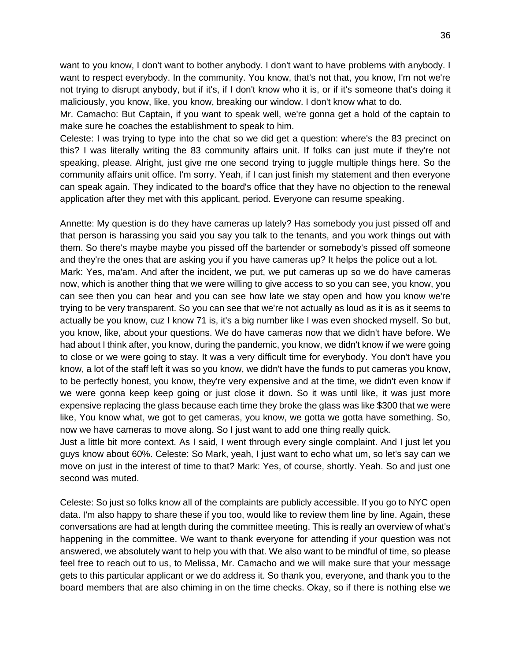want to you know, I don't want to bother anybody. I don't want to have problems with anybody. I want to respect everybody. In the community. You know, that's not that, you know, I'm not we're not trying to disrupt anybody, but if it's, if I don't know who it is, or if it's someone that's doing it maliciously, you know, like, you know, breaking our window. I don't know what to do.

Mr. Camacho: But Captain, if you want to speak well, we're gonna get a hold of the captain to make sure he coaches the establishment to speak to him.

Celeste: I was trying to type into the chat so we did get a question: where's the 83 precinct on this? I was literally writing the 83 community affairs unit. If folks can just mute if they're not speaking, please. Alright, just give me one second trying to juggle multiple things here. So the community affairs unit office. I'm sorry. Yeah, if I can just finish my statement and then everyone can speak again. They indicated to the board's office that they have no objection to the renewal application after they met with this applicant, period. Everyone can resume speaking.

Annette: My question is do they have cameras up lately? Has somebody you just pissed off and that person is harassing you said you say you talk to the tenants, and you work things out with them. So there's maybe maybe you pissed off the bartender or somebody's pissed off someone and they're the ones that are asking you if you have cameras up? It helps the police out a lot. Mark: Yes, ma'am. And after the incident, we put, we put cameras up so we do have cameras now, which is another thing that we were willing to give access to so you can see, you know, you can see then you can hear and you can see how late we stay open and how you know we're trying to be very transparent. So you can see that we're not actually as loud as it is as it seems to actually be you know, cuz I know 71 is, it's a big number like I was even shocked myself. So but, you know, like, about your questions. We do have cameras now that we didn't have before. We had about I think after, you know, during the pandemic, you know, we didn't know if we were going to close or we were going to stay. It was a very difficult time for everybody. You don't have you know, a lot of the staff left it was so you know, we didn't have the funds to put cameras you know, to be perfectly honest, you know, they're very expensive and at the time, we didn't even know if we were gonna keep keep going or just close it down. So it was until like, it was just more expensive replacing the glass because each time they broke the glass was like \$300 that we were like, You know what, we got to get cameras, you know, we gotta we gotta have something. So, now we have cameras to move along. So I just want to add one thing really quick.

Just a little bit more context. As I said, I went through every single complaint. And I just let you guys know about 60%. Celeste: So Mark, yeah, I just want to echo what um, so let's say can we move on just in the interest of time to that? Mark: Yes, of course, shortly. Yeah. So and just one second was muted.

Celeste: So just so folks know all of the complaints are publicly accessible. If you go to NYC open data. I'm also happy to share these if you too, would like to review them line by line. Again, these conversations are had at length during the committee meeting. This is really an overview of what's happening in the committee. We want to thank everyone for attending if your question was not answered, we absolutely want to help you with that. We also want to be mindful of time, so please feel free to reach out to us, to Melissa, Mr. Camacho and we will make sure that your message gets to this particular applicant or we do address it. So thank you, everyone, and thank you to the board members that are also chiming in on the time checks. Okay, so if there is nothing else we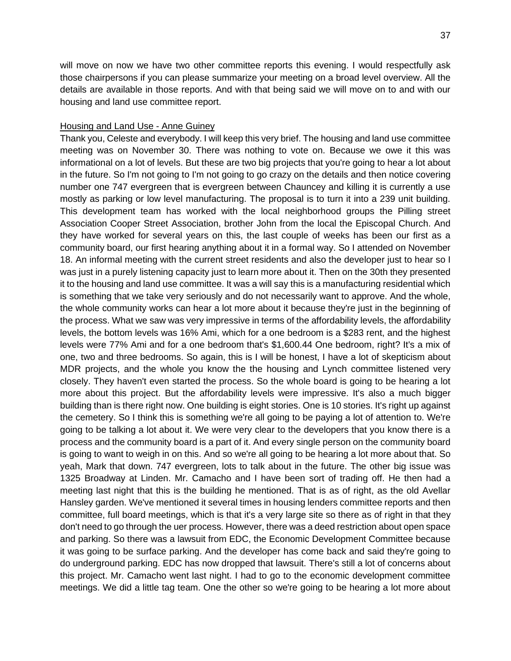will move on now we have two other committee reports this evening. I would respectfully ask those chairpersons if you can please summarize your meeting on a broad level overview. All the details are available in those reports. And with that being said we will move on to and with our housing and land use committee report.

#### Housing and Land Use - Anne Guiney

Thank you, Celeste and everybody. I will keep this very brief. The housing and land use committee meeting was on November 30. There was nothing to vote on. Because we owe it this was informational on a lot of levels. But these are two big projects that you're going to hear a lot about in the future. So I'm not going to I'm not going to go crazy on the details and then notice covering number one 747 evergreen that is evergreen between Chauncey and killing it is currently a use mostly as parking or low level manufacturing. The proposal is to turn it into a 239 unit building. This development team has worked with the local neighborhood groups the Pilling street Association Cooper Street Association, brother John from the local the Episcopal Church. And they have worked for several years on this, the last couple of weeks has been our first as a community board, our first hearing anything about it in a formal way. So I attended on November 18. An informal meeting with the current street residents and also the developer just to hear so I was just in a purely listening capacity just to learn more about it. Then on the 30th they presented it to the housing and land use committee. It was a will say this is a manufacturing residential which is something that we take very seriously and do not necessarily want to approve. And the whole, the whole community works can hear a lot more about it because they're just in the beginning of the process. What we saw was very impressive in terms of the affordability levels, the affordability levels, the bottom levels was 16% Ami, which for a one bedroom is a \$283 rent, and the highest levels were 77% Ami and for a one bedroom that's \$1,600.44 One bedroom, right? It's a mix of one, two and three bedrooms. So again, this is I will be honest, I have a lot of skepticism about MDR projects, and the whole you know the the housing and Lynch committee listened very closely. They haven't even started the process. So the whole board is going to be hearing a lot more about this project. But the affordability levels were impressive. It's also a much bigger building than is there right now. One building is eight stories. One is 10 stories. It's right up against the cemetery. So I think this is something we're all going to be paying a lot of attention to. We're going to be talking a lot about it. We were very clear to the developers that you know there is a process and the community board is a part of it. And every single person on the community board is going to want to weigh in on this. And so we're all going to be hearing a lot more about that. So yeah, Mark that down. 747 evergreen, lots to talk about in the future. The other big issue was 1325 Broadway at Linden. Mr. Camacho and I have been sort of trading off. He then had a meeting last night that this is the building he mentioned. That is as of right, as the old Avellar Hansley garden. We've mentioned it several times in housing lenders committee reports and then committee, full board meetings, which is that it's a very large site so there as of right in that they don't need to go through the uer process. However, there was a deed restriction about open space and parking. So there was a lawsuit from EDC, the Economic Development Committee because it was going to be surface parking. And the developer has come back and said they're going to do underground parking. EDC has now dropped that lawsuit. There's still a lot of concerns about this project. Mr. Camacho went last night. I had to go to the economic development committee meetings. We did a little tag team. One the other so we're going to be hearing a lot more about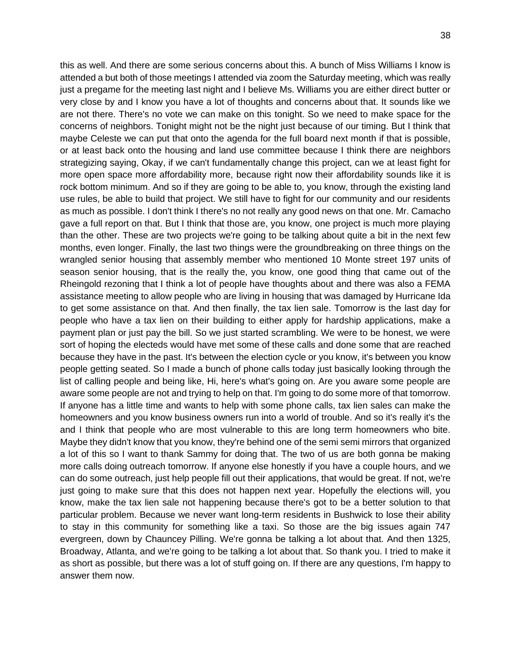this as well. And there are some serious concerns about this. A bunch of Miss Williams I know is attended a but both of those meetings I attended via zoom the Saturday meeting, which was really just a pregame for the meeting last night and I believe Ms. Williams you are either direct butter or very close by and I know you have a lot of thoughts and concerns about that. It sounds like we are not there. There's no vote we can make on this tonight. So we need to make space for the concerns of neighbors. Tonight might not be the night just because of our timing. But I think that maybe Celeste we can put that onto the agenda for the full board next month if that is possible, or at least back onto the housing and land use committee because I think there are neighbors strategizing saying, Okay, if we can't fundamentally change this project, can we at least fight for more open space more affordability more, because right now their affordability sounds like it is rock bottom minimum. And so if they are going to be able to, you know, through the existing land use rules, be able to build that project. We still have to fight for our community and our residents as much as possible. I don't think I there's no not really any good news on that one. Mr. Camacho gave a full report on that. But I think that those are, you know, one project is much more playing than the other. These are two projects we're going to be talking about quite a bit in the next few months, even longer. Finally, the last two things were the groundbreaking on three things on the wrangled senior housing that assembly member who mentioned 10 Monte street 197 units of season senior housing, that is the really the, you know, one good thing that came out of the Rheingold rezoning that I think a lot of people have thoughts about and there was also a FEMA assistance meeting to allow people who are living in housing that was damaged by Hurricane Ida to get some assistance on that. And then finally, the tax lien sale. Tomorrow is the last day for people who have a tax lien on their building to either apply for hardship applications, make a payment plan or just pay the bill. So we just started scrambling. We were to be honest, we were sort of hoping the electeds would have met some of these calls and done some that are reached because they have in the past. It's between the election cycle or you know, it's between you know people getting seated. So I made a bunch of phone calls today just basically looking through the list of calling people and being like, Hi, here's what's going on. Are you aware some people are aware some people are not and trying to help on that. I'm going to do some more of that tomorrow. If anyone has a little time and wants to help with some phone calls, tax lien sales can make the homeowners and you know business owners run into a world of trouble. And so it's really it's the and I think that people who are most vulnerable to this are long term homeowners who bite. Maybe they didn't know that you know, they're behind one of the semi semi mirrors that organized a lot of this so I want to thank Sammy for doing that. The two of us are both gonna be making more calls doing outreach tomorrow. If anyone else honestly if you have a couple hours, and we can do some outreach, just help people fill out their applications, that would be great. If not, we're just going to make sure that this does not happen next year. Hopefully the elections will, you know, make the tax lien sale not happening because there's got to be a better solution to that particular problem. Because we never want long-term residents in Bushwick to lose their ability to stay in this community for something like a taxi. So those are the big issues again 747 evergreen, down by Chauncey Pilling. We're gonna be talking a lot about that. And then 1325, Broadway, Atlanta, and we're going to be talking a lot about that. So thank you. I tried to make it as short as possible, but there was a lot of stuff going on. If there are any questions, I'm happy to answer them now.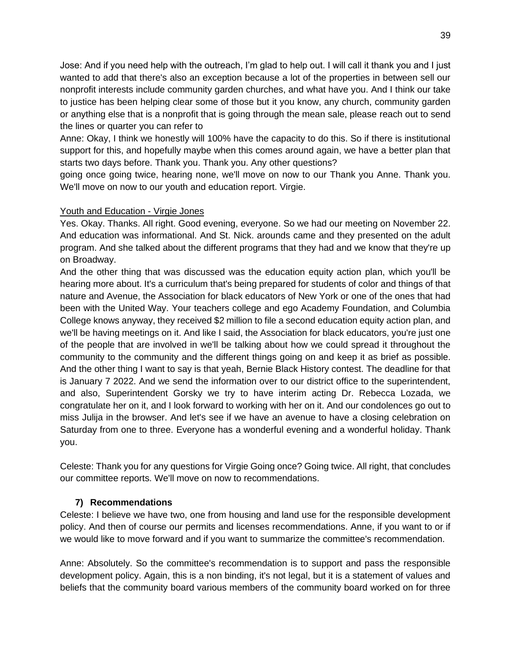Jose: And if you need help with the outreach, I'm glad to help out. I will call it thank you and I just wanted to add that there's also an exception because a lot of the properties in between sell our nonprofit interests include community garden churches, and what have you. And I think our take to justice has been helping clear some of those but it you know, any church, community garden or anything else that is a nonprofit that is going through the mean sale, please reach out to send the lines or quarter you can refer to

Anne: Okay, I think we honestly will 100% have the capacity to do this. So if there is institutional support for this, and hopefully maybe when this comes around again, we have a better plan that starts two days before. Thank you. Thank you. Any other questions?

going once going twice, hearing none, we'll move on now to our Thank you Anne. Thank you. We'll move on now to our youth and education report. Virgie.

## Youth and Education - Virgie Jones

Yes. Okay. Thanks. All right. Good evening, everyone. So we had our meeting on November 22. And education was informational. And St. Nick. arounds came and they presented on the adult program. And she talked about the different programs that they had and we know that they're up on Broadway.

And the other thing that was discussed was the education equity action plan, which you'll be hearing more about. It's a curriculum that's being prepared for students of color and things of that nature and Avenue, the Association for black educators of New York or one of the ones that had been with the United Way. Your teachers college and ego Academy Foundation, and Columbia College knows anyway, they received \$2 million to file a second education equity action plan, and we'll be having meetings on it. And like I said, the Association for black educators, you're just one of the people that are involved in we'll be talking about how we could spread it throughout the community to the community and the different things going on and keep it as brief as possible. And the other thing I want to say is that yeah, Bernie Black History contest. The deadline for that is January 7 2022. And we send the information over to our district office to the superintendent, and also, Superintendent Gorsky we try to have interim acting Dr. Rebecca Lozada, we congratulate her on it, and I look forward to working with her on it. And our condolences go out to miss Julija in the browser. And let's see if we have an avenue to have a closing celebration on Saturday from one to three. Everyone has a wonderful evening and a wonderful holiday. Thank you.

Celeste: Thank you for any questions for Virgie Going once? Going twice. All right, that concludes our committee reports. We'll move on now to recommendations.

# **7) Recommendations**

Celeste: I believe we have two, one from housing and land use for the responsible development policy. And then of course our permits and licenses recommendations. Anne, if you want to or if we would like to move forward and if you want to summarize the committee's recommendation.

Anne: Absolutely. So the committee's recommendation is to support and pass the responsible development policy. Again, this is a non binding, it's not legal, but it is a statement of values and beliefs that the community board various members of the community board worked on for three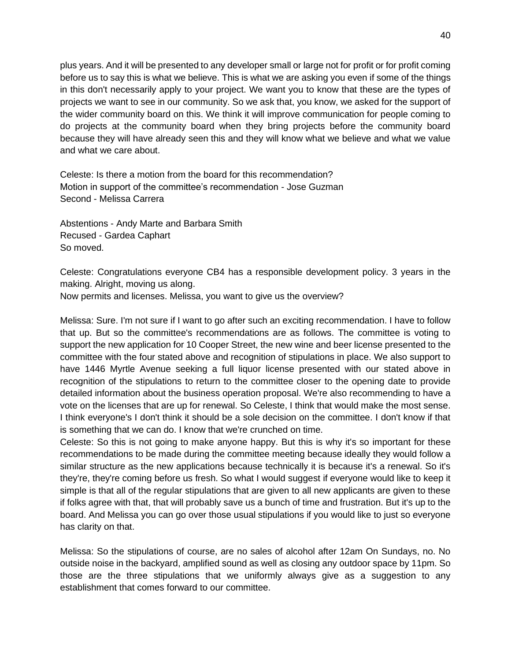plus years. And it will be presented to any developer small or large not for profit or for profit coming before us to say this is what we believe. This is what we are asking you even if some of the things in this don't necessarily apply to your project. We want you to know that these are the types of projects we want to see in our community. So we ask that, you know, we asked for the support of the wider community board on this. We think it will improve communication for people coming to do projects at the community board when they bring projects before the community board because they will have already seen this and they will know what we believe and what we value and what we care about.

Celeste: Is there a motion from the board for this recommendation? Motion in support of the committee's recommendation - Jose Guzman Second - Melissa Carrera

Abstentions - Andy Marte and Barbara Smith Recused - Gardea Caphart So moved.

Celeste: Congratulations everyone CB4 has a responsible development policy. 3 years in the making. Alright, moving us along.

Now permits and licenses. Melissa, you want to give us the overview?

Melissa: Sure. I'm not sure if I want to go after such an exciting recommendation. I have to follow that up. But so the committee's recommendations are as follows. The committee is voting to support the new application for 10 Cooper Street, the new wine and beer license presented to the committee with the four stated above and recognition of stipulations in place. We also support to have 1446 Myrtle Avenue seeking a full liquor license presented with our stated above in recognition of the stipulations to return to the committee closer to the opening date to provide detailed information about the business operation proposal. We're also recommending to have a vote on the licenses that are up for renewal. So Celeste, I think that would make the most sense. I think everyone's I don't think it should be a sole decision on the committee. I don't know if that is something that we can do. I know that we're crunched on time.

Celeste: So this is not going to make anyone happy. But this is why it's so important for these recommendations to be made during the committee meeting because ideally they would follow a similar structure as the new applications because technically it is because it's a renewal. So it's they're, they're coming before us fresh. So what I would suggest if everyone would like to keep it simple is that all of the regular stipulations that are given to all new applicants are given to these if folks agree with that, that will probably save us a bunch of time and frustration. But it's up to the board. And Melissa you can go over those usual stipulations if you would like to just so everyone has clarity on that.

Melissa: So the stipulations of course, are no sales of alcohol after 12am On Sundays, no. No outside noise in the backyard, amplified sound as well as closing any outdoor space by 11pm. So those are the three stipulations that we uniformly always give as a suggestion to any establishment that comes forward to our committee.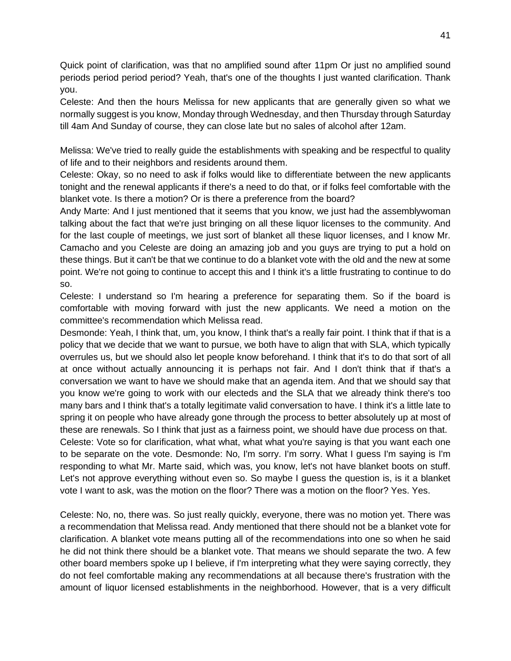Quick point of clarification, was that no amplified sound after 11pm Or just no amplified sound periods period period period? Yeah, that's one of the thoughts I just wanted clarification. Thank you.

Celeste: And then the hours Melissa for new applicants that are generally given so what we normally suggest is you know, Monday through Wednesday, and then Thursday through Saturday till 4am And Sunday of course, they can close late but no sales of alcohol after 12am.

Melissa: We've tried to really guide the establishments with speaking and be respectful to quality of life and to their neighbors and residents around them.

Celeste: Okay, so no need to ask if folks would like to differentiate between the new applicants tonight and the renewal applicants if there's a need to do that, or if folks feel comfortable with the blanket vote. Is there a motion? Or is there a preference from the board?

Andy Marte: And I just mentioned that it seems that you know, we just had the assemblywoman talking about the fact that we're just bringing on all these liquor licenses to the community. And for the last couple of meetings, we just sort of blanket all these liquor licenses, and I know Mr. Camacho and you Celeste are doing an amazing job and you guys are trying to put a hold on these things. But it can't be that we continue to do a blanket vote with the old and the new at some point. We're not going to continue to accept this and I think it's a little frustrating to continue to do so.

Celeste: I understand so I'm hearing a preference for separating them. So if the board is comfortable with moving forward with just the new applicants. We need a motion on the committee's recommendation which Melissa read.

Desmonde: Yeah, I think that, um, you know, I think that's a really fair point. I think that if that is a policy that we decide that we want to pursue, we both have to align that with SLA, which typically overrules us, but we should also let people know beforehand. I think that it's to do that sort of all at once without actually announcing it is perhaps not fair. And I don't think that if that's a conversation we want to have we should make that an agenda item. And that we should say that you know we're going to work with our electeds and the SLA that we already think there's too many bars and I think that's a totally legitimate valid conversation to have. I think it's a little late to spring it on people who have already gone through the process to better absolutely up at most of these are renewals. So I think that just as a fairness point, we should have due process on that. Celeste: Vote so for clarification, what what, what what you're saying is that you want each one to be separate on the vote. Desmonde: No, I'm sorry. I'm sorry. What I guess I'm saying is I'm responding to what Mr. Marte said, which was, you know, let's not have blanket boots on stuff. Let's not approve everything without even so. So maybe I guess the question is, is it a blanket vote I want to ask, was the motion on the floor? There was a motion on the floor? Yes. Yes.

Celeste: No, no, there was. So just really quickly, everyone, there was no motion yet. There was a recommendation that Melissa read. Andy mentioned that there should not be a blanket vote for clarification. A blanket vote means putting all of the recommendations into one so when he said he did not think there should be a blanket vote. That means we should separate the two. A few other board members spoke up I believe, if I'm interpreting what they were saying correctly, they do not feel comfortable making any recommendations at all because there's frustration with the amount of liquor licensed establishments in the neighborhood. However, that is a very difficult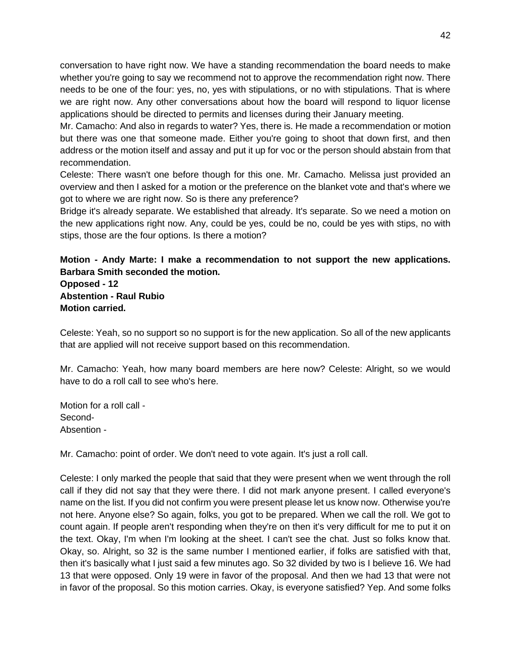conversation to have right now. We have a standing recommendation the board needs to make whether you're going to say we recommend not to approve the recommendation right now. There needs to be one of the four: yes, no, yes with stipulations, or no with stipulations. That is where we are right now. Any other conversations about how the board will respond to liquor license applications should be directed to permits and licenses during their January meeting.

Mr. Camacho: And also in regards to water? Yes, there is. He made a recommendation or motion but there was one that someone made. Either you're going to shoot that down first, and then address or the motion itself and assay and put it up for voc or the person should abstain from that recommendation.

Celeste: There wasn't one before though for this one. Mr. Camacho. Melissa just provided an overview and then I asked for a motion or the preference on the blanket vote and that's where we got to where we are right now. So is there any preference?

Bridge it's already separate. We established that already. It's separate. So we need a motion on the new applications right now. Any, could be yes, could be no, could be yes with stips, no with stips, those are the four options. Is there a motion?

**Motion - Andy Marte: I make a recommendation to not support the new applications. Barbara Smith seconded the motion. Opposed - 12 Abstention - Raul Rubio**

**Motion carried.**

Celeste: Yeah, so no support so no support is for the new application. So all of the new applicants that are applied will not receive support based on this recommendation.

Mr. Camacho: Yeah, how many board members are here now? Celeste: Alright, so we would have to do a roll call to see who's here.

Motion for a roll call - Second-Absention -

Mr. Camacho: point of order. We don't need to vote again. It's just a roll call.

Celeste: I only marked the people that said that they were present when we went through the roll call if they did not say that they were there. I did not mark anyone present. I called everyone's name on the list. If you did not confirm you were present please let us know now. Otherwise you're not here. Anyone else? So again, folks, you got to be prepared. When we call the roll. We got to count again. If people aren't responding when they're on then it's very difficult for me to put it on the text. Okay, I'm when I'm looking at the sheet. I can't see the chat. Just so folks know that. Okay, so. Alright, so 32 is the same number I mentioned earlier, if folks are satisfied with that, then it's basically what I just said a few minutes ago. So 32 divided by two is I believe 16. We had 13 that were opposed. Only 19 were in favor of the proposal. And then we had 13 that were not in favor of the proposal. So this motion carries. Okay, is everyone satisfied? Yep. And some folks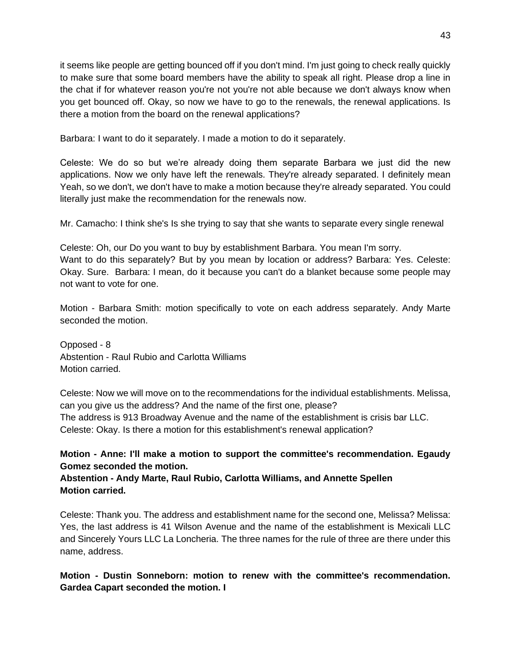it seems like people are getting bounced off if you don't mind. I'm just going to check really quickly to make sure that some board members have the ability to speak all right. Please drop a line in the chat if for whatever reason you're not you're not able because we don't always know when you get bounced off. Okay, so now we have to go to the renewals, the renewal applications. Is there a motion from the board on the renewal applications?

Barbara: I want to do it separately. I made a motion to do it separately.

Celeste: We do so but we're already doing them separate Barbara we just did the new applications. Now we only have left the renewals. They're already separated. I definitely mean Yeah, so we don't, we don't have to make a motion because they're already separated. You could literally just make the recommendation for the renewals now.

Mr. Camacho: I think she's Is she trying to say that she wants to separate every single renewal

Celeste: Oh, our Do you want to buy by establishment Barbara. You mean I'm sorry. Want to do this separately? But by you mean by location or address? Barbara: Yes. Celeste: Okay. Sure. Barbara: I mean, do it because you can't do a blanket because some people may not want to vote for one.

Motion - Barbara Smith: motion specifically to vote on each address separately. Andy Marte seconded the motion.

Opposed - 8 Abstention - Raul Rubio and Carlotta Williams Motion carried.

Celeste: Now we will move on to the recommendations for the individual establishments. Melissa, can you give us the address? And the name of the first one, please? The address is 913 Broadway Avenue and the name of the establishment is crisis bar LLC. Celeste: Okay. Is there a motion for this establishment's renewal application?

**Motion - Anne: I'll make a motion to support the committee's recommendation. Egaudy Gomez seconded the motion.** 

**Abstention - Andy Marte, Raul Rubio, Carlotta Williams, and Annette Spellen Motion carried.** 

Celeste: Thank you. The address and establishment name for the second one, Melissa? Melissa: Yes, the last address is 41 Wilson Avenue and the name of the establishment is Mexicali LLC and Sincerely Yours LLC La Loncheria. The three names for the rule of three are there under this name, address.

**Motion - Dustin Sonneborn: motion to renew with the committee's recommendation. Gardea Capart seconded the motion. I**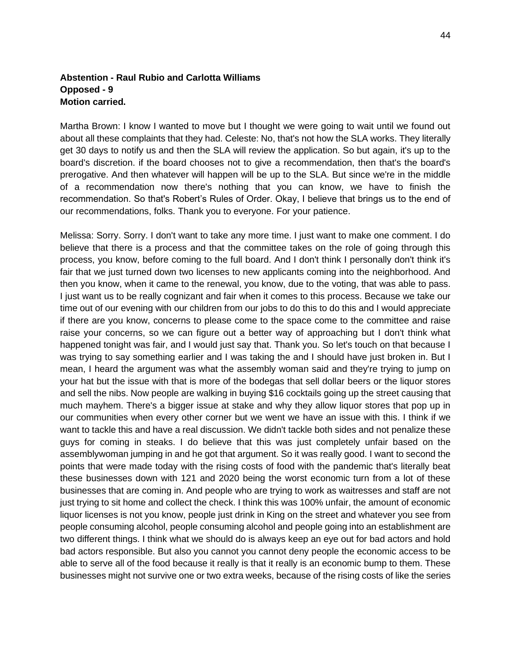## **Abstention - Raul Rubio and Carlotta Williams Opposed - 9 Motion carried.**

Martha Brown: I know I wanted to move but I thought we were going to wait until we found out about all these complaints that they had. Celeste: No, that's not how the SLA works. They literally get 30 days to notify us and then the SLA will review the application. So but again, it's up to the board's discretion. if the board chooses not to give a recommendation, then that's the board's prerogative. And then whatever will happen will be up to the SLA. But since we're in the middle of a recommendation now there's nothing that you can know, we have to finish the recommendation. So that's Robert's Rules of Order. Okay, I believe that brings us to the end of our recommendations, folks. Thank you to everyone. For your patience.

Melissa: Sorry. Sorry. I don't want to take any more time. I just want to make one comment. I do believe that there is a process and that the committee takes on the role of going through this process, you know, before coming to the full board. And I don't think I personally don't think it's fair that we just turned down two licenses to new applicants coming into the neighborhood. And then you know, when it came to the renewal, you know, due to the voting, that was able to pass. I just want us to be really cognizant and fair when it comes to this process. Because we take our time out of our evening with our children from our jobs to do this to do this and I would appreciate if there are you know, concerns to please come to the space come to the committee and raise raise your concerns, so we can figure out a better way of approaching but I don't think what happened tonight was fair, and I would just say that. Thank you. So let's touch on that because I was trying to say something earlier and I was taking the and I should have just broken in. But I mean, I heard the argument was what the assembly woman said and they're trying to jump on your hat but the issue with that is more of the bodegas that sell dollar beers or the liquor stores and sell the nibs. Now people are walking in buying \$16 cocktails going up the street causing that much mayhem. There's a bigger issue at stake and why they allow liquor stores that pop up in our communities when every other corner but we went we have an issue with this. I think if we want to tackle this and have a real discussion. We didn't tackle both sides and not penalize these guys for coming in steaks. I do believe that this was just completely unfair based on the assemblywoman jumping in and he got that argument. So it was really good. I want to second the points that were made today with the rising costs of food with the pandemic that's literally beat these businesses down with 121 and 2020 being the worst economic turn from a lot of these businesses that are coming in. And people who are trying to work as waitresses and staff are not just trying to sit home and collect the check. I think this was 100% unfair, the amount of economic liquor licenses is not you know, people just drink in King on the street and whatever you see from people consuming alcohol, people consuming alcohol and people going into an establishment are two different things. I think what we should do is always keep an eye out for bad actors and hold bad actors responsible. But also you cannot you cannot deny people the economic access to be able to serve all of the food because it really is that it really is an economic bump to them. These businesses might not survive one or two extra weeks, because of the rising costs of like the series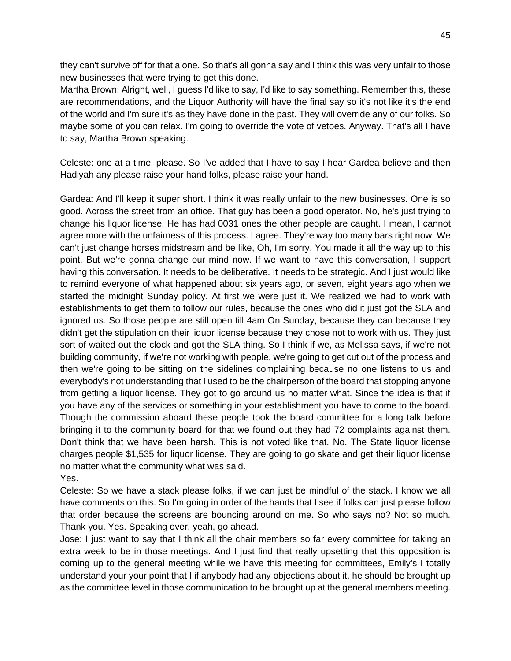they can't survive off for that alone. So that's all gonna say and I think this was very unfair to those new businesses that were trying to get this done.

Martha Brown: Alright, well, I guess I'd like to say, I'd like to say something. Remember this, these are recommendations, and the Liquor Authority will have the final say so it's not like it's the end of the world and I'm sure it's as they have done in the past. They will override any of our folks. So maybe some of you can relax. I'm going to override the vote of vetoes. Anyway. That's all I have to say, Martha Brown speaking.

Celeste: one at a time, please. So I've added that I have to say I hear Gardea believe and then Hadiyah any please raise your hand folks, please raise your hand.

Gardea: And I'll keep it super short. I think it was really unfair to the new businesses. One is so good. Across the street from an office. That guy has been a good operator. No, he's just trying to change his liquor license. He has had 0031 ones the other people are caught. I mean, I cannot agree more with the unfairness of this process. I agree. They're way too many bars right now. We can't just change horses midstream and be like, Oh, I'm sorry. You made it all the way up to this point. But we're gonna change our mind now. If we want to have this conversation, I support having this conversation. It needs to be deliberative. It needs to be strategic. And I just would like to remind everyone of what happened about six years ago, or seven, eight years ago when we started the midnight Sunday policy. At first we were just it. We realized we had to work with establishments to get them to follow our rules, because the ones who did it just got the SLA and ignored us. So those people are still open till 4am On Sunday, because they can because they didn't get the stipulation on their liquor license because they chose not to work with us. They just sort of waited out the clock and got the SLA thing. So I think if we, as Melissa says, if we're not building community, if we're not working with people, we're going to get cut out of the process and then we're going to be sitting on the sidelines complaining because no one listens to us and everybody's not understanding that I used to be the chairperson of the board that stopping anyone from getting a liquor license. They got to go around us no matter what. Since the idea is that if you have any of the services or something in your establishment you have to come to the board. Though the commission aboard these people took the board committee for a long talk before bringing it to the community board for that we found out they had 72 complaints against them. Don't think that we have been harsh. This is not voted like that. No. The State liquor license charges people \$1,535 for liquor license. They are going to go skate and get their liquor license no matter what the community what was said. Yes.

Celeste: So we have a stack please folks, if we can just be mindful of the stack. I know we all have comments on this. So I'm going in order of the hands that I see if folks can just please follow that order because the screens are bouncing around on me. So who says no? Not so much. Thank you. Yes. Speaking over, yeah, go ahead.

Jose: I just want to say that I think all the chair members so far every committee for taking an extra week to be in those meetings. And I just find that really upsetting that this opposition is coming up to the general meeting while we have this meeting for committees, Emily's I totally understand your your point that I if anybody had any objections about it, he should be brought up as the committee level in those communication to be brought up at the general members meeting.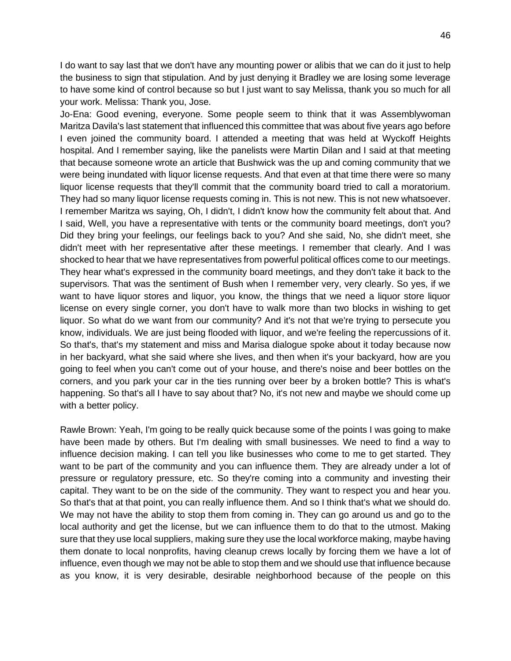I do want to say last that we don't have any mounting power or alibis that we can do it just to help the business to sign that stipulation. And by just denying it Bradley we are losing some leverage to have some kind of control because so but I just want to say Melissa, thank you so much for all your work. Melissa: Thank you, Jose.

Jo-Ena: Good evening, everyone. Some people seem to think that it was Assemblywoman Maritza Davila's last statement that influenced this committee that was about five years ago before I even joined the community board. I attended a meeting that was held at Wyckoff Heights hospital. And I remember saying, like the panelists were Martin Dilan and I said at that meeting that because someone wrote an article that Bushwick was the up and coming community that we were being inundated with liquor license requests. And that even at that time there were so many liquor license requests that they'll commit that the community board tried to call a moratorium. They had so many liquor license requests coming in. This is not new. This is not new whatsoever. I remember Maritza ws saying, Oh, I didn't, I didn't know how the community felt about that. And I said, Well, you have a representative with tents or the community board meetings, don't you? Did they bring your feelings, our feelings back to you? And she said, No, she didn't meet, she didn't meet with her representative after these meetings. I remember that clearly. And I was shocked to hear that we have representatives from powerful political offices come to our meetings. They hear what's expressed in the community board meetings, and they don't take it back to the supervisors. That was the sentiment of Bush when I remember very, very clearly. So yes, if we want to have liquor stores and liquor, you know, the things that we need a liquor store liquor license on every single corner, you don't have to walk more than two blocks in wishing to get liquor. So what do we want from our community? And it's not that we're trying to persecute you know, individuals. We are just being flooded with liquor, and we're feeling the repercussions of it. So that's, that's my statement and miss and Marisa dialogue spoke about it today because now in her backyard, what she said where she lives, and then when it's your backyard, how are you going to feel when you can't come out of your house, and there's noise and beer bottles on the corners, and you park your car in the ties running over beer by a broken bottle? This is what's happening. So that's all I have to say about that? No, it's not new and maybe we should come up with a better policy.

Rawle Brown: Yeah, I'm going to be really quick because some of the points I was going to make have been made by others. But I'm dealing with small businesses. We need to find a way to influence decision making. I can tell you like businesses who come to me to get started. They want to be part of the community and you can influence them. They are already under a lot of pressure or regulatory pressure, etc. So they're coming into a community and investing their capital. They want to be on the side of the community. They want to respect you and hear you. So that's that at that point, you can really influence them. And so I think that's what we should do. We may not have the ability to stop them from coming in. They can go around us and go to the local authority and get the license, but we can influence them to do that to the utmost. Making sure that they use local suppliers, making sure they use the local workforce making, maybe having them donate to local nonprofits, having cleanup crews locally by forcing them we have a lot of influence, even though we may not be able to stop them and we should use that influence because as you know, it is very desirable, desirable neighborhood because of the people on this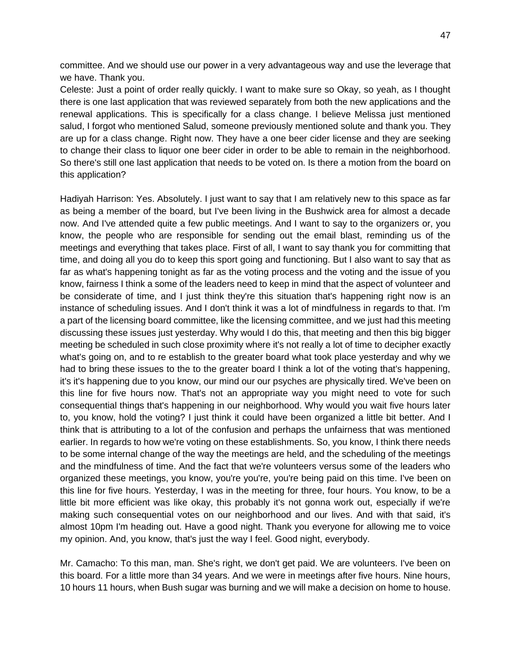committee. And we should use our power in a very advantageous way and use the leverage that we have. Thank you.

Celeste: Just a point of order really quickly. I want to make sure so Okay, so yeah, as I thought there is one last application that was reviewed separately from both the new applications and the renewal applications. This is specifically for a class change. I believe Melissa just mentioned salud, I forgot who mentioned Salud, someone previously mentioned solute and thank you. They are up for a class change. Right now. They have a one beer cider license and they are seeking to change their class to liquor one beer cider in order to be able to remain in the neighborhood. So there's still one last application that needs to be voted on. Is there a motion from the board on this application?

Hadiyah Harrison: Yes. Absolutely. I just want to say that I am relatively new to this space as far as being a member of the board, but I've been living in the Bushwick area for almost a decade now. And I've attended quite a few public meetings. And I want to say to the organizers or, you know, the people who are responsible for sending out the email blast, reminding us of the meetings and everything that takes place. First of all, I want to say thank you for committing that time, and doing all you do to keep this sport going and functioning. But I also want to say that as far as what's happening tonight as far as the voting process and the voting and the issue of you know, fairness I think a some of the leaders need to keep in mind that the aspect of volunteer and be considerate of time, and I just think they're this situation that's happening right now is an instance of scheduling issues. And I don't think it was a lot of mindfulness in regards to that. I'm a part of the licensing board committee, like the licensing committee, and we just had this meeting discussing these issues just yesterday. Why would I do this, that meeting and then this big bigger meeting be scheduled in such close proximity where it's not really a lot of time to decipher exactly what's going on, and to re establish to the greater board what took place yesterday and why we had to bring these issues to the to the greater board I think a lot of the voting that's happening, it's it's happening due to you know, our mind our our psyches are physically tired. We've been on this line for five hours now. That's not an appropriate way you might need to vote for such consequential things that's happening in our neighborhood. Why would you wait five hours later to, you know, hold the voting? I just think it could have been organized a little bit better. And I think that is attributing to a lot of the confusion and perhaps the unfairness that was mentioned earlier. In regards to how we're voting on these establishments. So, you know, I think there needs to be some internal change of the way the meetings are held, and the scheduling of the meetings and the mindfulness of time. And the fact that we're volunteers versus some of the leaders who organized these meetings, you know, you're you're, you're being paid on this time. I've been on this line for five hours. Yesterday, I was in the meeting for three, four hours. You know, to be a little bit more efficient was like okay, this probably it's not gonna work out, especially if we're making such consequential votes on our neighborhood and our lives. And with that said, it's almost 10pm I'm heading out. Have a good night. Thank you everyone for allowing me to voice my opinion. And, you know, that's just the way I feel. Good night, everybody.

Mr. Camacho: To this man, man. She's right, we don't get paid. We are volunteers. I've been on this board. For a little more than 34 years. And we were in meetings after five hours. Nine hours, 10 hours 11 hours, when Bush sugar was burning and we will make a decision on home to house.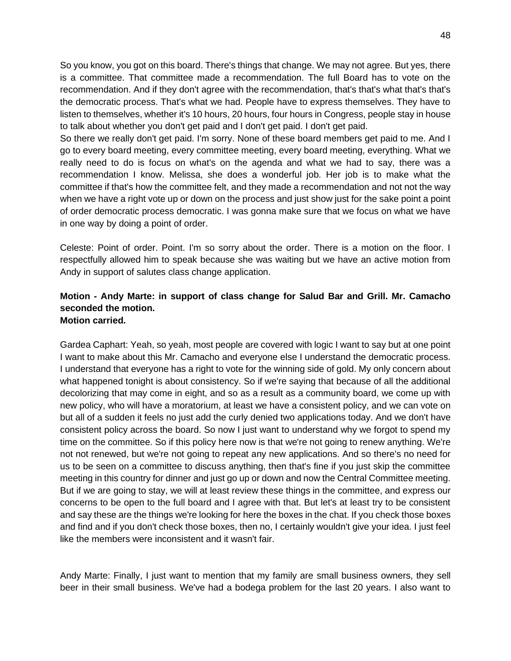So you know, you got on this board. There's things that change. We may not agree. But yes, there is a committee. That committee made a recommendation. The full Board has to vote on the recommendation. And if they don't agree with the recommendation, that's that's what that's that's the democratic process. That's what we had. People have to express themselves. They have to listen to themselves, whether it's 10 hours, 20 hours, four hours in Congress, people stay in house to talk about whether you don't get paid and I don't get paid. I don't get paid.

So there we really don't get paid. I'm sorry. None of these board members get paid to me. And I go to every board meeting, every committee meeting, every board meeting, everything. What we really need to do is focus on what's on the agenda and what we had to say, there was a recommendation I know. Melissa, she does a wonderful job. Her job is to make what the committee if that's how the committee felt, and they made a recommendation and not not the way when we have a right vote up or down on the process and just show just for the sake point a point of order democratic process democratic. I was gonna make sure that we focus on what we have in one way by doing a point of order.

Celeste: Point of order. Point. I'm so sorry about the order. There is a motion on the floor. I respectfully allowed him to speak because she was waiting but we have an active motion from Andy in support of salutes class change application.

### **Motion - Andy Marte: in support of class change for Salud Bar and Grill. Mr. Camacho seconded the motion. Motion carried.**

Gardea Caphart: Yeah, so yeah, most people are covered with logic I want to say but at one point I want to make about this Mr. Camacho and everyone else I understand the democratic process. I understand that everyone has a right to vote for the winning side of gold. My only concern about what happened tonight is about consistency. So if we're saying that because of all the additional decolorizing that may come in eight, and so as a result as a community board, we come up with new policy, who will have a moratorium, at least we have a consistent policy, and we can vote on but all of a sudden it feels no just add the curly denied two applications today. And we don't have consistent policy across the board. So now I just want to understand why we forgot to spend my time on the committee. So if this policy here now is that we're not going to renew anything. We're not not renewed, but we're not going to repeat any new applications. And so there's no need for us to be seen on a committee to discuss anything, then that's fine if you just skip the committee meeting in this country for dinner and just go up or down and now the Central Committee meeting. But if we are going to stay, we will at least review these things in the committee, and express our concerns to be open to the full board and I agree with that. But let's at least try to be consistent and say these are the things we're looking for here the boxes in the chat. If you check those boxes and find and if you don't check those boxes, then no, I certainly wouldn't give your idea. I just feel like the members were inconsistent and it wasn't fair.

Andy Marte: Finally, I just want to mention that my family are small business owners, they sell beer in their small business. We've had a bodega problem for the last 20 years. I also want to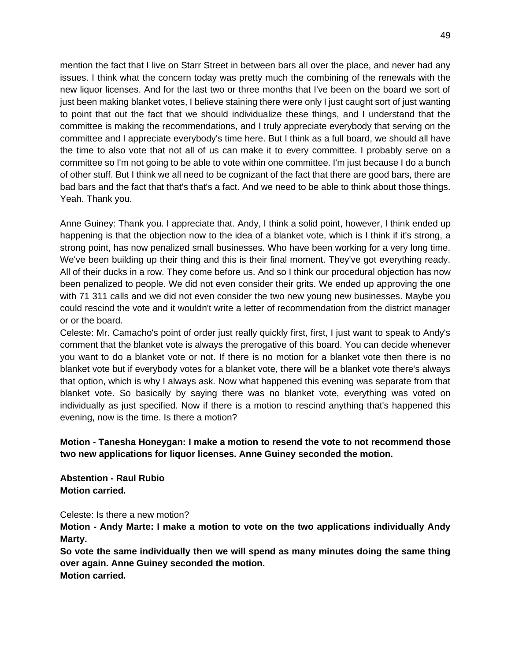mention the fact that I live on Starr Street in between bars all over the place, and never had any issues. I think what the concern today was pretty much the combining of the renewals with the new liquor licenses. And for the last two or three months that I've been on the board we sort of just been making blanket votes, I believe staining there were only I just caught sort of just wanting to point that out the fact that we should individualize these things, and I understand that the committee is making the recommendations, and I truly appreciate everybody that serving on the committee and I appreciate everybody's time here. But I think as a full board, we should all have the time to also vote that not all of us can make it to every committee. I probably serve on a committee so I'm not going to be able to vote within one committee. I'm just because I do a bunch of other stuff. But I think we all need to be cognizant of the fact that there are good bars, there are bad bars and the fact that that's that's a fact. And we need to be able to think about those things. Yeah. Thank you.

Anne Guiney: Thank you. I appreciate that. Andy, I think a solid point, however, I think ended up happening is that the objection now to the idea of a blanket vote, which is I think if it's strong, a strong point, has now penalized small businesses. Who have been working for a very long time. We've been building up their thing and this is their final moment. They've got everything ready. All of their ducks in a row. They come before us. And so I think our procedural objection has now been penalized to people. We did not even consider their grits. We ended up approving the one with 71 311 calls and we did not even consider the two new young new businesses. Maybe you could rescind the vote and it wouldn't write a letter of recommendation from the district manager or or the board.

Celeste: Mr. Camacho's point of order just really quickly first, first, I just want to speak to Andy's comment that the blanket vote is always the prerogative of this board. You can decide whenever you want to do a blanket vote or not. If there is no motion for a blanket vote then there is no blanket vote but if everybody votes for a blanket vote, there will be a blanket vote there's always that option, which is why I always ask. Now what happened this evening was separate from that blanket vote. So basically by saying there was no blanket vote, everything was voted on individually as just specified. Now if there is a motion to rescind anything that's happened this evening, now is the time. Is there a motion?

# **Motion - Tanesha Honeygan: I make a motion to resend the vote to not recommend those two new applications for liquor licenses. Anne Guiney seconded the motion.**

**Abstention - Raul Rubio Motion carried.**

Celeste: Is there a new motion?

**Motion - Andy Marte: I make a motion to vote on the two applications individually Andy Marty.**

**So vote the same individually then we will spend as many minutes doing the same thing over again. Anne Guiney seconded the motion. Motion carried.**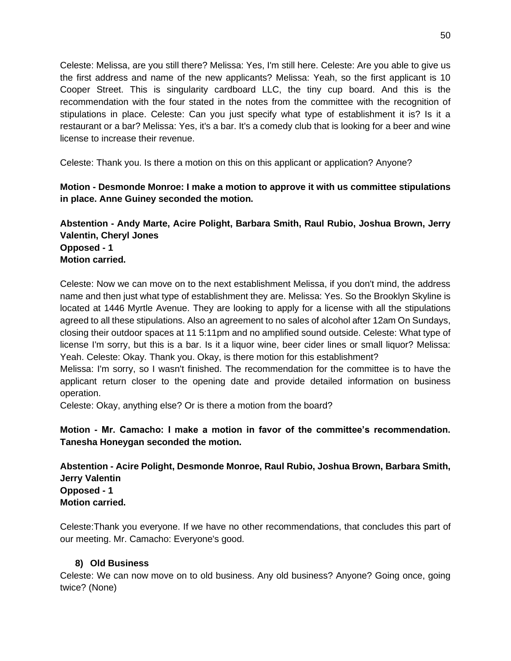Celeste: Melissa, are you still there? Melissa: Yes, I'm still here. Celeste: Are you able to give us the first address and name of the new applicants? Melissa: Yeah, so the first applicant is 10 Cooper Street. This is singularity cardboard LLC, the tiny cup board. And this is the recommendation with the four stated in the notes from the committee with the recognition of stipulations in place. Celeste: Can you just specify what type of establishment it is? Is it a restaurant or a bar? Melissa: Yes, it's a bar. It's a comedy club that is looking for a beer and wine license to increase their revenue.

Celeste: Thank you. Is there a motion on this on this applicant or application? Anyone?

# **Motion - Desmonde Monroe: I make a motion to approve it with us committee stipulations in place. Anne Guiney seconded the motion.**

# **Abstention - Andy Marte, Acire Polight, Barbara Smith, Raul Rubio, Joshua Brown, Jerry Valentin, Cheryl Jones Opposed - 1 Motion carried.**

Celeste: Now we can move on to the next establishment Melissa, if you don't mind, the address name and then just what type of establishment they are. Melissa: Yes. So the Brooklyn Skyline is located at 1446 Myrtle Avenue. They are looking to apply for a license with all the stipulations agreed to all these stipulations. Also an agreement to no sales of alcohol after 12am On Sundays, closing their outdoor spaces at 11 5:11pm and no amplified sound outside. Celeste: What type of license I'm sorry, but this is a bar. Is it a liquor wine, beer cider lines or small liquor? Melissa: Yeah. Celeste: Okay. Thank you. Okay, is there motion for this establishment?

Melissa: I'm sorry, so I wasn't finished. The recommendation for the committee is to have the applicant return closer to the opening date and provide detailed information on business operation.

Celeste: Okay, anything else? Or is there a motion from the board?

**Motion - Mr. Camacho: I make a motion in favor of the committee's recommendation. Tanesha Honeygan seconded the motion.** 

**Abstention - Acire Polight, Desmonde Monroe, Raul Rubio, Joshua Brown, Barbara Smith, Jerry Valentin Opposed - 1 Motion carried.**

Celeste:Thank you everyone. If we have no other recommendations, that concludes this part of our meeting. Mr. Camacho: Everyone's good.

# **8) Old Business**

Celeste: We can now move on to old business. Any old business? Anyone? Going once, going twice? (None)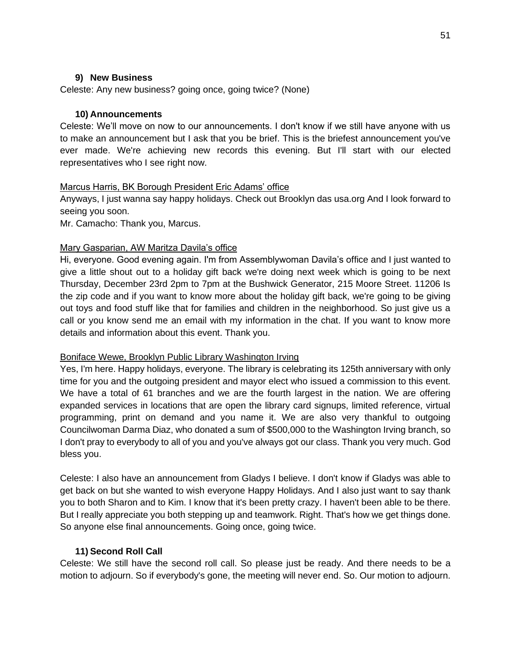### **9) New Business**

Celeste: Any new business? going once, going twice? (None)

### **10) Announcements**

Celeste: We'll move on now to our announcements. I don't know if we still have anyone with us to make an announcement but I ask that you be brief. This is the briefest announcement you've ever made. We're achieving new records this evening. But I'll start with our elected representatives who I see right now.

### Marcus Harris, BK Borough President Eric Adams' office

Anyways, I just wanna say happy holidays. Check out Brooklyn das usa.org And I look forward to seeing you soon.

Mr. Camacho: Thank you, Marcus.

### Mary Gasparian, AW Maritza Davila's office

Hi, everyone. Good evening again. I'm from Assemblywoman Davila's office and I just wanted to give a little shout out to a holiday gift back we're doing next week which is going to be next Thursday, December 23rd 2pm to 7pm at the Bushwick Generator, 215 Moore Street. 11206 Is the zip code and if you want to know more about the holiday gift back, we're going to be giving out toys and food stuff like that for families and children in the neighborhood. So just give us a call or you know send me an email with my information in the chat. If you want to know more details and information about this event. Thank you.

### Boniface Wewe, Brooklyn Public Library Washington Irving

Yes, I'm here. Happy holidays, everyone. The library is celebrating its 125th anniversary with only time for you and the outgoing president and mayor elect who issued a commission to this event. We have a total of 61 branches and we are the fourth largest in the nation. We are offering expanded services in locations that are open the library card signups, limited reference, virtual programming, print on demand and you name it. We are also very thankful to outgoing Councilwoman Darma Diaz, who donated a sum of \$500,000 to the Washington Irving branch, so I don't pray to everybody to all of you and you've always got our class. Thank you very much. God bless you.

Celeste: I also have an announcement from Gladys I believe. I don't know if Gladys was able to get back on but she wanted to wish everyone Happy Holidays. And I also just want to say thank you to both Sharon and to Kim. I know that it's been pretty crazy. I haven't been able to be there. But I really appreciate you both stepping up and teamwork. Right. That's how we get things done. So anyone else final announcements. Going once, going twice.

### **11) Second Roll Call**

Celeste: We still have the second roll call. So please just be ready. And there needs to be a motion to adjourn. So if everybody's gone, the meeting will never end. So. Our motion to adjourn.